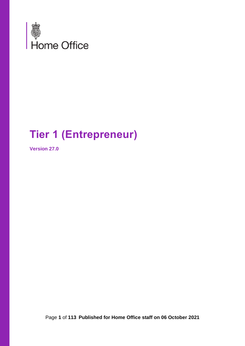

# **Tier 1 (Entrepreneur)**

**Version 27.0**

Page **1** of **113 Published for Home Office staff on 06 October 2021**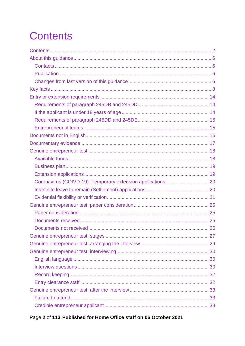# <span id="page-1-0"></span>**Contents**

Page 2 of 113 Published for Home Office staff on 06 October 2021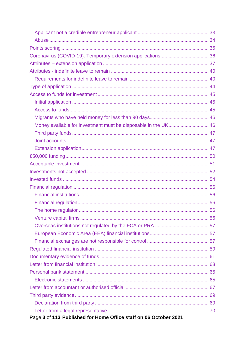| Money available for investment must be disposable in the UK 46   |  |
|------------------------------------------------------------------|--|
|                                                                  |  |
|                                                                  |  |
|                                                                  |  |
|                                                                  |  |
|                                                                  |  |
|                                                                  |  |
|                                                                  |  |
|                                                                  |  |
|                                                                  |  |
|                                                                  |  |
|                                                                  |  |
|                                                                  |  |
|                                                                  |  |
|                                                                  |  |
|                                                                  |  |
|                                                                  |  |
|                                                                  |  |
|                                                                  |  |
|                                                                  |  |
|                                                                  |  |
|                                                                  |  |
|                                                                  |  |
|                                                                  |  |
|                                                                  |  |
| Page 3 of 113 Published for Home Office staff on 06 October 2021 |  |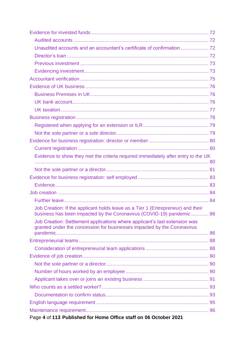| Evidence to show they met the criteria required immediately after entry to the UK                                                                        |  |
|----------------------------------------------------------------------------------------------------------------------------------------------------------|--|
|                                                                                                                                                          |  |
|                                                                                                                                                          |  |
|                                                                                                                                                          |  |
|                                                                                                                                                          |  |
|                                                                                                                                                          |  |
|                                                                                                                                                          |  |
| Job Creation: If the applicant holds leave as a Tier 1 (Entrepreneur) and their<br>business has been impacted by the Coronavirus (COVID-19) pandemic  86 |  |
| Job Creation: Settlement applications where applicant's last extension was<br>granted under the concession for businesses impacted by the Coronavirus    |  |
|                                                                                                                                                          |  |
|                                                                                                                                                          |  |
|                                                                                                                                                          |  |
|                                                                                                                                                          |  |
|                                                                                                                                                          |  |
|                                                                                                                                                          |  |
|                                                                                                                                                          |  |
|                                                                                                                                                          |  |
|                                                                                                                                                          |  |
|                                                                                                                                                          |  |
|                                                                                                                                                          |  |
| Page 4 of 113 Published for Home Office staff on 06 October 2021                                                                                         |  |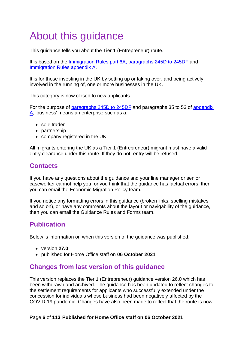# <span id="page-5-0"></span>About this guidance

This guidance tells you about the Tier 1 (Entrepreneur) route.

It is based on the [Immigration Rules part 6A, paragraphs 245D to 245DF a](https://www.gov.uk/guidance/immigration-rules/immigration-rules-part-6a-the-points-based-system)nd [Immigration Rules appendix A.](https://www.gov.uk/guidance/immigration-rules/immigration-rules-appendix-a-attributes)

It is for those investing in the UK by setting up or taking over, and being actively involved in the running of, one or more businesses in the UK.

This category is now closed to new applicants.

For the purpose of [paragraphs 245D to 245DF](https://www.gov.uk/guidance/immigration-rules/immigration-rules-part-6a-the-points-based-system) and paragraphs 35 to 53 of appendix [A,](https://www.gov.uk/guidance/immigration-rules/immigration-rules-appendix-a-attributes) 'business' means an enterprise such as a:

- sole trader
- partnership
- company registered in the UK

All migrants entering the UK as a Tier 1 (Entrepreneur) migrant must have a valid entry clearance under this route. If they do not, entry will be refused.

## <span id="page-5-1"></span>**Contacts**

If you have any questions about the guidance and your line manager or senior caseworker cannot help you, or you think that the guidance has factual errors, then you can email the Economic Migration Policy team.

If you notice any formatting errors in this guidance (broken links, spelling mistakes and so on), or have any comments about the layout or navigability of the guidance, then you can email the Guidance Rules and Forms team.

## <span id="page-5-2"></span>**Publication**

Below is information on when this version of the guidance was published:

- version **27.0**
- published for Home Office staff on **06 October 2021**

## <span id="page-5-3"></span>**Changes from last version of this guidance**

This version replaces the Tier 1 (Entrepreneur) guidance version 26.0 which has been withdrawn and archived. The guidance has been updated to reflect changes to the settlement requirements for applicants who successfully extended under the concession for individuals whose business had been negatively affected by the COVID-19 pandemic. Changes have also been made to reflect that the route is now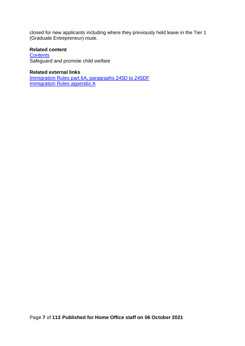closed for new applicants including where they previously held leave in the Tier 1 (Graduate Entrepreneur) route.

### **Related content**

**[Contents](#page-1-0)** Safeguard and promote child welfare

#### **Related external links**

[Immigration Rules part 6A, paragraphs 245D to 245DF](https://www.gov.uk/guidance/immigration-rules/immigration-rules-part-6a-the-points-based-system)  [Immigration Rules appendix A](https://www.gov.uk/guidance/immigration-rules/immigration-rules-appendix-a-attributes)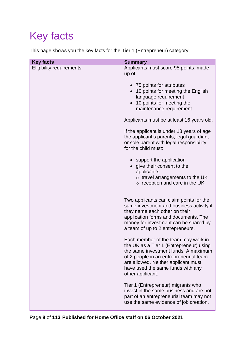# <span id="page-7-0"></span>Key facts

This page shows you the key facts for the Tier 1 (Entrepreneur) category.

| <b>Key facts</b>                | <b>Summary</b>                                                                                                                                                                                                                                                   |
|---------------------------------|------------------------------------------------------------------------------------------------------------------------------------------------------------------------------------------------------------------------------------------------------------------|
| <b>Eligibility requirements</b> | Applicants must score 95 points, made<br>up of:                                                                                                                                                                                                                  |
|                                 | • 75 points for attributes<br>• 10 points for meeting the English<br>language requirement<br>• 10 points for meeting the<br>maintenance requirement                                                                                                              |
|                                 | Applicants must be at least 16 years old.                                                                                                                                                                                                                        |
|                                 | If the applicant is under 18 years of age<br>the applicant's parents, legal guardian,<br>or sole parent with legal responsibility<br>for the child must:                                                                                                         |
|                                 | • support the application<br>• give their consent to the<br>applicant's:<br>$\circ$ travel arrangements to the UK<br>$\circ$ reception and care in the UK                                                                                                        |
|                                 | Two applicants can claim points for the<br>same investment and business activity if<br>they name each other on their<br>application forms and documents. The<br>money for investment can be shared by<br>a team of up to 2 entrepreneurs.                        |
|                                 | Each member of the team may work in<br>the UK as a Tier 1 (Entrepreneur) using<br>the same investment funds. A maximum<br>of 2 people in an entrepreneurial team<br>are allowed. Neither applicant must<br>have used the same funds with any<br>other applicant. |
|                                 | Tier 1 (Entrepreneur) migrants who<br>invest in the same business and are not<br>part of an entrepreneurial team may not<br>use the same evidence of job creation.                                                                                               |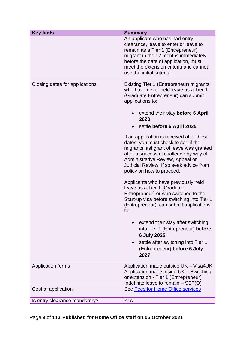| <b>Key facts</b>               | <b>Summary</b>                                                                                                                                                                                                                                                                     |
|--------------------------------|------------------------------------------------------------------------------------------------------------------------------------------------------------------------------------------------------------------------------------------------------------------------------------|
|                                | An applicant who has had entry<br>clearance, leave to enter or leave to<br>remain as a Tier 1 (Entrepreneur)<br>migrant in the 12 months immediately<br>before the date of application, must<br>meet the extension criteria and cannot<br>use the initial criteria.                |
| Closing dates for applications | Existing Tier 1 (Entrepreneur) migrants<br>who have never held leave as a Tier 1<br>(Graduate Entrepreneur) can submit<br>applications to:<br>extend their stay before 6 April<br>2023                                                                                             |
|                                | settle before 6 April 2025                                                                                                                                                                                                                                                         |
|                                | If an application is received after these<br>dates, you must check to see if the<br>migrants last grant of leave was granted<br>after a successful challenge by way of<br>Administrative Review, Appeal or<br>Judicial Review. If so seek advice from<br>policy on how to proceed. |
|                                | Applicants who have previously held<br>leave as a Tier 1 (Graduate<br>Entrepreneur) or who switched to the<br>Start-up visa before switching into Tier 1<br>(Entrepreneur), can submit applications<br>to:                                                                         |
|                                | extend their stay after switching<br>into Tier 1 (Entrepreneur) before<br>6 July 2025                                                                                                                                                                                              |
|                                | settle after switching into Tier 1<br>(Entrepreneur) before 6 July<br>2027                                                                                                                                                                                                         |
| Application forms              | Application made outside UK - Visa4UK<br>Application made inside UK - Switching<br>or extension - Tier 1 (Entrepreneur)<br>Indefinite leave to remain - SET(O)                                                                                                                     |
| Cost of application            | See Fees for Home Office services                                                                                                                                                                                                                                                  |
| Is entry clearance mandatory?  | Yes                                                                                                                                                                                                                                                                                |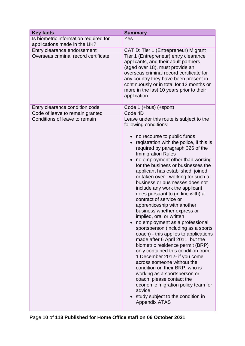| <b>Key facts</b>                                                      | <b>Summary</b>                                                                                                                                                                                                                                                                                                                                                                                                                                                                                                                                                                                                                                                                                                                                                                                                                                                                                                                                                                                                                                                                       |
|-----------------------------------------------------------------------|--------------------------------------------------------------------------------------------------------------------------------------------------------------------------------------------------------------------------------------------------------------------------------------------------------------------------------------------------------------------------------------------------------------------------------------------------------------------------------------------------------------------------------------------------------------------------------------------------------------------------------------------------------------------------------------------------------------------------------------------------------------------------------------------------------------------------------------------------------------------------------------------------------------------------------------------------------------------------------------------------------------------------------------------------------------------------------------|
| Is biometric information required for<br>applications made in the UK? | Yes                                                                                                                                                                                                                                                                                                                                                                                                                                                                                                                                                                                                                                                                                                                                                                                                                                                                                                                                                                                                                                                                                  |
| Entry clearance endorsement                                           | CAT D: Tier 1 (Entrepreneur) Migrant                                                                                                                                                                                                                                                                                                                                                                                                                                                                                                                                                                                                                                                                                                                                                                                                                                                                                                                                                                                                                                                 |
| Overseas criminal record certificate                                  | Tier 1 (Entrepreneur) entry clearance<br>applicants, and their adult partners<br>(aged over 18), must provide an<br>overseas criminal record certificate for<br>any country they have been present in<br>continuously or in total for 12 months or<br>more in the last 10 years prior to their<br>application.                                                                                                                                                                                                                                                                                                                                                                                                                                                                                                                                                                                                                                                                                                                                                                       |
| Entry clearance condition code                                        | Code 1 (+bus) (+sport)                                                                                                                                                                                                                                                                                                                                                                                                                                                                                                                                                                                                                                                                                                                                                                                                                                                                                                                                                                                                                                                               |
| Code of leave to remain granted                                       | Code 4D                                                                                                                                                                                                                                                                                                                                                                                                                                                                                                                                                                                                                                                                                                                                                                                                                                                                                                                                                                                                                                                                              |
| Conditions of leave to remain                                         | Leave under this route is subject to the<br>following conditions:<br>no recourse to public funds<br>registration with the police, if this is<br>required by paragraph 326 of the<br><b>Immigration Rules</b><br>no employment other than working<br>for the business or businesses the<br>applicant has established, joined<br>or taken over - working for such a<br>business or businesses does not<br>include any work the applicant<br>does pursuant to (in line with) a<br>contract of service or<br>apprenticeship with another<br>business whether express or<br>implied, oral or written<br>no employment as a professional<br>sportsperson (including as a sports<br>coach) - this applies to applications<br>made after 6 April 2011, but the<br>biometric residence permit (BRP)<br>only contained this condition from<br>1 December 2012- if you come<br>across someone without the<br>condition on their BRP, who is<br>working as a sportsperson or<br>coach, please contact the<br>economic migration policy team for<br>advice<br>• study subject to the condition in |
|                                                                       | <b>Appendix ATAS</b>                                                                                                                                                                                                                                                                                                                                                                                                                                                                                                                                                                                                                                                                                                                                                                                                                                                                                                                                                                                                                                                                 |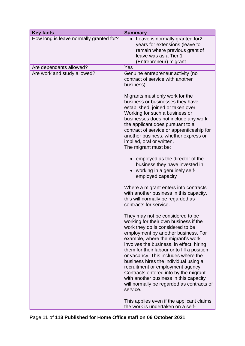| <b>Key facts</b>                        | <b>Summary</b>                                                                                                                                                                                                                                                                                                                                                                                                                                                                                                                                        |
|-----------------------------------------|-------------------------------------------------------------------------------------------------------------------------------------------------------------------------------------------------------------------------------------------------------------------------------------------------------------------------------------------------------------------------------------------------------------------------------------------------------------------------------------------------------------------------------------------------------|
| How long is leave normally granted for? | Leave is normally granted for2<br>years for extensions (leave to<br>remain where previous grant of<br>leave was as a Tier 1<br>(Entrepreneur) migrant                                                                                                                                                                                                                                                                                                                                                                                                 |
| Are dependants allowed?                 | Yes                                                                                                                                                                                                                                                                                                                                                                                                                                                                                                                                                   |
| Are work and study allowed?             | Genuine entrepreneur activity (no<br>contract of service with another<br>business)<br>Migrants must only work for the                                                                                                                                                                                                                                                                                                                                                                                                                                 |
|                                         | business or businesses they have<br>established, joined or taken over.<br>Working for such a business or<br>businesses does not include any work<br>the applicant does pursuant to a<br>contract of service or apprenticeship for<br>another business, whether express or<br>implied, oral or written.<br>The migrant must be:                                                                                                                                                                                                                        |
|                                         | • employed as the director of the<br>business they have invested in<br>• working in a genuinely self-<br>employed capacity                                                                                                                                                                                                                                                                                                                                                                                                                            |
|                                         | Where a migrant enters into contracts<br>with another business in this capacity,<br>this will normally be regarded as<br>contracts for service.                                                                                                                                                                                                                                                                                                                                                                                                       |
|                                         | They may not be considered to be<br>working for their own business if the<br>work they do is considered to be<br>employment by another business. For<br>example, where the migrant's work<br>involves the business, in effect, hiring<br>them for their labour or to fill a position<br>or vacancy. This includes where the<br>business hires the individual using a<br>recruitment or employment agency.<br>Contracts entered into by the migrant<br>with another business in this capacity<br>will normally be regarded as contracts of<br>service. |
|                                         | This applies even if the applicant claims<br>the work is undertaken on a self-                                                                                                                                                                                                                                                                                                                                                                                                                                                                        |

Page **11** of **113 Published for Home Office staff on 06 October 2021**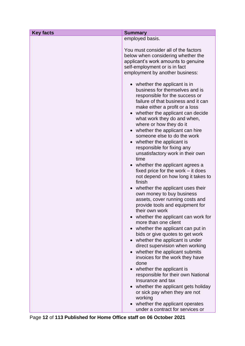| <b>Key facts</b> | <b>Summary</b>                                                                                                                                                                                                                                                                                                                                                                                                                                                                                                                                                                                                                                                                                                                                                                                                                                                                                                                                                                                                                          |  |  |
|------------------|-----------------------------------------------------------------------------------------------------------------------------------------------------------------------------------------------------------------------------------------------------------------------------------------------------------------------------------------------------------------------------------------------------------------------------------------------------------------------------------------------------------------------------------------------------------------------------------------------------------------------------------------------------------------------------------------------------------------------------------------------------------------------------------------------------------------------------------------------------------------------------------------------------------------------------------------------------------------------------------------------------------------------------------------|--|--|
|                  | employed basis.                                                                                                                                                                                                                                                                                                                                                                                                                                                                                                                                                                                                                                                                                                                                                                                                                                                                                                                                                                                                                         |  |  |
|                  | You must consider all of the factors<br>below when considering whether the<br>applicant's work amounts to genuine<br>self-employment or is in fact<br>employment by another business:                                                                                                                                                                                                                                                                                                                                                                                                                                                                                                                                                                                                                                                                                                                                                                                                                                                   |  |  |
|                  | • whether the applicant is in<br>business for themselves and is<br>responsible for the success or<br>failure of that business and it can<br>make either a profit or a loss<br>whether the applicant can decide<br>what work they do and when,<br>where or how they do it<br>whether the applicant can hire<br>someone else to do the work<br>whether the applicant is<br>responsible for fixing any<br>unsatisfactory work in their own<br>time<br>whether the applicant agrees a<br>fixed price for the work $-$ it does<br>not depend on how long it takes to<br>finish<br>whether the applicant uses their<br>own money to buy business<br>assets, cover running costs and<br>provide tools and equipment for<br>their own work<br>whether the applicant can work for<br>more than one client<br>whether the applicant can put in<br>bids or give quotes to get work<br>• whether the applicant is under<br>direct supervision when working<br>whether the applicant submits<br>$\bullet$<br>invoices for the work they have<br>done |  |  |
|                  | • whether the applicant is<br>responsible for their own National                                                                                                                                                                                                                                                                                                                                                                                                                                                                                                                                                                                                                                                                                                                                                                                                                                                                                                                                                                        |  |  |
|                  | Insurance and tax<br>whether the applicant gets holiday<br>or sick pay when they are not<br>working                                                                                                                                                                                                                                                                                                                                                                                                                                                                                                                                                                                                                                                                                                                                                                                                                                                                                                                                     |  |  |
|                  | whether the applicant operates<br>under a contract for services or                                                                                                                                                                                                                                                                                                                                                                                                                                                                                                                                                                                                                                                                                                                                                                                                                                                                                                                                                                      |  |  |

Page **12** of **113 Published for Home Office staff on 06 October 2021**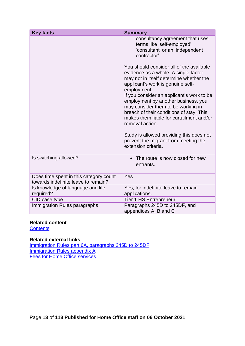| <b>Key facts</b>                                                              | <b>Summary</b>                                                                                                                                                                                                                                                                                                                                                                                                                                                                                                                  |
|-------------------------------------------------------------------------------|---------------------------------------------------------------------------------------------------------------------------------------------------------------------------------------------------------------------------------------------------------------------------------------------------------------------------------------------------------------------------------------------------------------------------------------------------------------------------------------------------------------------------------|
|                                                                               | consultancy agreement that uses<br>terms like 'self-employed',<br>'consultant' or an 'independent<br>contractor'                                                                                                                                                                                                                                                                                                                                                                                                                |
|                                                                               | You should consider all of the available<br>evidence as a whole. A single factor<br>may not in itself determine whether the<br>applicant's work is genuine self-<br>employment.<br>If you consider an applicant's work to be<br>employment by another business, you<br>may consider them to be working in<br>breach of their conditions of stay. This<br>makes them liable for curtailment and/or<br>removal action.<br>Study is allowed providing this does not<br>prevent the migrant from meeting the<br>extension criteria. |
| Is switching allowed?                                                         | • The route is now closed for new<br>entrants.                                                                                                                                                                                                                                                                                                                                                                                                                                                                                  |
| Does time spent in this category count<br>towards indefinite leave to remain? | Yes                                                                                                                                                                                                                                                                                                                                                                                                                                                                                                                             |
| Is knowledge of language and life<br>required?                                | Yes, for indefinite leave to remain<br>applications.                                                                                                                                                                                                                                                                                                                                                                                                                                                                            |
| CID case type                                                                 | Tier 1 HS Entrepreneur                                                                                                                                                                                                                                                                                                                                                                                                                                                                                                          |
| Immigration Rules paragraphs                                                  | Paragraphs 245D to 245DF, and<br>appendices A, B and C                                                                                                                                                                                                                                                                                                                                                                                                                                                                          |

#### **Related content**

**[Contents](#page-1-0)** 

### **Related external links**

[Immigration Rules part 6A, paragraphs 245D to 245DF](https://www.gov.uk/guidance/immigration-rules/immigration-rules-part-6a-the-points-based-system)  **[Immigration Rules appendix A](https://www.gov.uk/guidance/immigration-rules/immigration-rules-appendix-a-attributes)** [Fees for Home Office](https://www.gov.uk/government/publications/visa-regulations-revised-table) services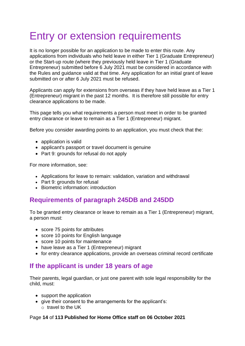## <span id="page-13-0"></span>Entry or extension requirements

It is no longer possible for an application to be made to enter this route. Any applications from individuals who held leave in either Tier 1 (Graduate Entrepreneur) or the Start-up route (where they previously held leave in Tier 1 (Graduate Entrepreneur) submitted before 6 July 2021 must be considered in accordance with the Rules and guidance valid at that time. Any application for an initial grant of leave submitted on or after 6 July 2021 must be refused.

Applicants can apply for extensions from overseas if they have held leave as a Tier 1 (Entrepreneur) migrant in the past 12 months. It is therefore still possible for entry clearance applications to be made.

This page tells you what requirements a person must meet in order to be granted entry clearance or leave to remain as a Tier 1 (Entrepreneur) migrant.

Before you consider awarding points to an application, you must check that the:

- application is valid
- applicant's passport or travel document is genuine
- Part 9: grounds for refusal do not apply

For more information, see:

- Applications for leave to remain: validation, variation and withdrawal
- Part 9: grounds for refusal
- Biometric information: introduction

## <span id="page-13-1"></span>**Requirements of paragraph 245DB and 245DD**

To be granted entry clearance or leave to remain as a Tier 1 (Entrepreneur) migrant, a person must:

- score 75 points for attributes
- score 10 points for English language
- score 10 points for maintenance
- have leave as a Tier 1 (Entrepreneur) migrant
- for entry clearance applications, provide an overseas criminal record certificate

## <span id="page-13-2"></span>**If the applicant is under 18 years of age**

Their parents, legal guardian, or just one parent with sole legal responsibility for the child, must:

- support the application
- give their consent to the arrangements for the applicant's: o travel to the UK

### Page **14** of **113 Published for Home Office staff on 06 October 2021**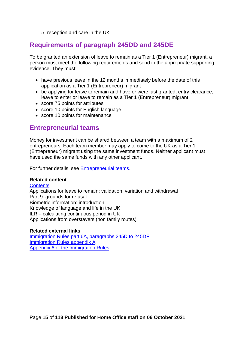o reception and care in the UK

## <span id="page-14-0"></span>**Requirements of paragraph 245DD and 245DE**

To be granted an extension of leave to remain as a Tier 1 (Entrepreneur) migrant, a person must meet the following requirements and send in the appropriate supporting evidence. They must:

- have previous leave in the 12 months immediately before the date of this application as a Tier 1 (Entrepreneur) migrant
- be applying for leave to remain and have or were last granted, entry clearance, leave to enter or leave to remain as a Tier 1 (Entrepreneur) migrant
- score 75 points for attributes
- score 10 points for English language
- score 10 points for maintenance

## <span id="page-14-1"></span>**Entrepreneurial teams**

Money for investment can be shared between a team with a maximum of 2 entrepreneurs. Each team member may apply to come to the UK as a Tier 1 (Entrepreneur) migrant using the same investment funds. Neither applicant must have used the same funds with any other applicant.

For further details, see [Entrepreneurial teams.](#page-87-0)

#### **Related content**

#### **[Contents](#page-1-0)**

Applications for leave to remain: validation, variation and withdrawal Part 9: grounds for refusal Biometric information: introduction Knowledge of language and life in the UK ILR – calculating continuous period in UK Applications from overstayers (non family routes)

#### **Related external links**

[Immigration Rules part 6A, paragraphs 245D to 245DF](https://www.gov.uk/guidance/immigration-rules/immigration-rules-part-6a-the-points-based-system)  [Immigration Rules appendix A](https://www.gov.uk/guidance/immigration-rules/immigration-rules-appendix-a-attributes) [Appendix 6 of the Immigration Rules](https://www.gov.uk/guidance/immigration-rules/immigration-rules-appendix-6-academic-subjects-that-need-a-certificate)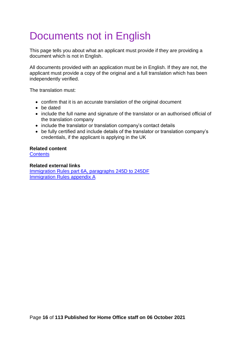# <span id="page-15-0"></span>Documents not in English

This page tells you about what an applicant must provide if they are providing a document which is not in English.

All documents provided with an application must be in English. If they are not, the applicant must provide a copy of the original and a full translation which has been independently verified.

The translation must:

- confirm that it is an accurate translation of the original document
- be dated
- include the full name and signature of the translator or an authorised official of the translation company
- include the translator or translation company's contact details
- be fully certified and include details of the translator or translation company's credentials, if the applicant is applying in the UK

## **Related content**

**[Contents](#page-1-0)** 

**Related external links**

[Immigration Rules part 6A, paragraphs 245D to 245DF](https://www.gov.uk/guidance/immigration-rules/immigration-rules-part-6a-the-points-based-system)  [Immigration Rules appendix A](https://www.gov.uk/guidance/immigration-rules/immigration-rules-appendix-a-attributes)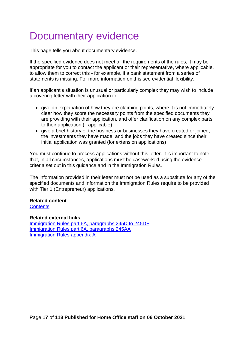## <span id="page-16-0"></span>Documentary evidence

This page tells you about documentary evidence.

If the specified evidence does not meet all the requirements of the rules, it may be appropriate for you to contact the applicant or their representative, where applicable, to allow them to correct this - for example, if a bank statement from a series of statements is missing. For more information on this see evidential flexibility.

If an applicant's situation is unusual or particularly complex they may wish to include a covering letter with their application to:

- give an explanation of how they are claiming points, where it is not immediately clear how they score the necessary points from the specified documents they are providing with their application, and offer clarification on any complex parts to their application (if applicable)
- give a brief history of the business or businesses they have created or joined, the investments they have made, and the jobs they have created since their initial application was granted (for extension applications)

You must continue to process applications without this letter. It is important to note that, in all circumstances, applications must be caseworked using the evidence criteria set out in this guidance and in the Immigration Rules.

The information provided in their letter must not be used as a substitute for any of the specified documents and information the Immigration Rules require to be provided with Tier 1 (Entrepreneur) applications.

## **Related content**

**[Contents](#page-1-0)** 

### **Related external links**

[Immigration Rules part 6A, paragraphs 245D to 245DF](https://www.gov.uk/guidance/immigration-rules/immigration-rules-part-6a-the-points-based-system)  [Immigration Rules part 6A, paragraphs 245AA](https://www.gov.uk/guidance/immigration-rules/immigration-rules-part-6a-the-points-based-system) [Immigration Rules appendix A](https://www.gov.uk/guidance/immigration-rules/immigration-rules-appendix-a-attributes)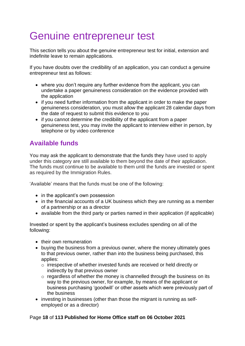## <span id="page-17-0"></span>Genuine entrepreneur test

This section tells you about the genuine entrepreneur test for initial, extension and indefinite leave to remain applications.

If you have doubts over the credibility of an application, you can conduct a genuine entrepreneur test as follows:

- where you don't require any further evidence from the applicant, you can undertake a paper genuineness consideration on the evidence provided with the application
- if you need further information from the applicant in order to make the paper genuineness consideration, you must allow the applicant 28 calendar days from the date of request to submit this evidence to you
- if you cannot determine the credibility of the applicant from a paper genuineness test, you may invite the applicant to interview either in person, by telephone or by video conference

## <span id="page-17-1"></span>**Available funds**

You may ask the applicant to demonstrate that the funds they have used to apply under this category are still available to them beyond the date of their application. The funds must continue to be available to them until the funds are invested or spent as required by the Immigration Rules.

'Available' means that the funds must be one of the following:

- in the applicant's own possession
- in the financial accounts of a UK business which they are running as a member of a partnership or as a director
- available from the third party or parties named in their application (if applicable)

Invested or spent by the applicant's business excludes spending on all of the following:

- their own remuneration
- buying the business from a previous owner, where the money ultimately goes to that previous owner, rather than into the business being purchased, this applies:
	- o irrespective of whether invested funds are received or held directly or indirectly by that previous owner
	- o regardless of whether the money is channelled through the business on its way to the previous owner, for example, by means of the applicant or business purchasing 'goodwill' or other assets which were previously part of the business
- investing in businesses (other than those the migrant is running as selfemployed or as a director)

## Page **18** of **113 Published for Home Office staff on 06 October 2021**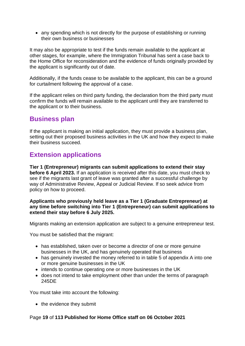• any spending which is not directly for the purpose of establishing or running their own business or businesses

It may also be appropriate to test if the funds remain available to the applicant at other stages, for example, where the Immigration Tribunal has sent a case back to the Home Office for reconsideration and the evidence of funds originally provided by the applicant is significantly out of date.

Additionally, if the funds cease to be available to the applicant, this can be a ground for curtailment following the approval of a case.

If the applicant relies on third party funding, the declaration from the third party must confirm the funds will remain available to the applicant until they are transferred to the applicant or to their business.

## <span id="page-18-0"></span>**Business plan**

If the applicant is making an initial application, they must provide a business plan, setting out their proposed business activities in the UK and how they expect to make their business succeed.

## <span id="page-18-1"></span>**Extension applications**

**Tier 1 (Entrepreneur) migrants can submit applications to extend their stay before 6 April 2023.** If an application is received after this date, you must check to see if the migrants last grant of leave was granted after a successful challenge by way of Administrative Review, Appeal or Judicial Review. If so seek advice from policy on how to proceed.

### **Applicants who previously held leave as a Tier 1 (Graduate Entrepreneur) at any time before switching into Tier 1 (Entrepreneur) can submit applications to extend their stay before 6 July 2025.**

Migrants making an extension application are subject to a genuine entrepreneur test.

You must be satisfied that the migrant:

- has established, taken over or become a director of one or more genuine businesses in the UK, and has genuinely operated that business
- has genuinely invested the money referred to in table 5 of appendix A into one or more genuine businesses in the UK
- intends to continue operating one or more businesses in the UK
- does not intend to take employment other than under the terms of paragraph 245DE

You must take into account the following:

• the evidence they submit

## Page **19** of **113 Published for Home Office staff on 06 October 2021**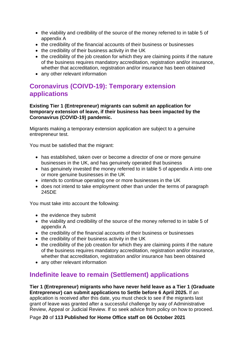- the viability and credibility of the source of the money referred to in table 5 of appendix A
- the credibility of the financial accounts of their business or businesses
- the credibility of their business activity in the UK
- the credibility of the job creation for which they are claiming points if the nature of the business requires mandatory accreditation, registration and/or insurance, whether that accreditation, registration and/or insurance has been obtained
- any other relevant information

## <span id="page-19-0"></span>**Coronavirus (COIVD-19): Temporary extension applications**

**Existing Tier 1 (Entrepreneur) migrants can submit an application for temporary extension of leave, if their business has been impacted by the Coronavirus (COVID-19) pandemic.**

Migrants making a temporary extension application are subject to a genuine entrepreneur test.

You must be satisfied that the migrant:

- has established, taken over or become a director of one or more genuine businesses in the UK, and has genuinely operated that business
- has genuinely invested the money referred to in table 5 of appendix A into one or more genuine businesses in the UK
- intends to continue operating one or more businesses in the UK
- does not intend to take employment other than under the terms of paragraph 245DE

You must take into account the following:

- the evidence they submit
- the viability and credibility of the source of the money referred to in table 5 of appendix A
- the credibility of the financial accounts of their business or businesses
- the credibility of their business activity in the UK
- the credibility of the job creation for which they are claiming points if the nature of the business requires mandatory accreditation, registration and/or insurance, whether that accreditation, registration and/or insurance has been obtained
- any other relevant information

## <span id="page-19-1"></span>**Indefinite leave to remain (Settlement) applications**

**Tier 1 (Entrepreneur) migrants who have never held leave as a Tier 1 (Graduate Entrepreneur) can submit applications to Settle before 6 April 2025.** If an application is received after this date, you must check to see if the migrants last grant of leave was granted after a successful challenge by way of Administrative Review, Appeal or Judicial Review. If so seek advice from policy on how to proceed.

Page **20** of **113 Published for Home Office staff on 06 October 2021**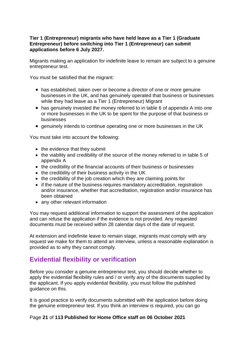### **Tier 1 (Entrepreneur) migrants who have held leave as a Tier 1 (Graduate Entrepreneur) before switching into Tier 1 (Entrepreneur) can submit applications before 6 July 2027.**

Migrants making an application for indefinite leave to remain are subject to a genuine entrepreneur test.

You must be satisfied that the migrant:

- has established, taken over or become a director of one or more genuine businesses in the UK, and has genuinely operated that business or businesses while they had leave as a Tier 1 (Entrepreneur) Migrant
- has genuinely invested the money referred to in table 6 of appendix A into one or more businesses in the UK to be spent for the purpose of that business or businesses
- genuinely intends to continue operating one or more businesses in the UK

You must take into account the following:

- the evidence that they submit
- the viability and credibility of the source of the money referred to in table 5 of appendix A
- the credibility of the financial accounts of their business or businesses
- the credibility of their business activity in the UK
- the credibility of the job creation which they are claiming points for
- if the nature of the business requires mandatory accreditation, registration and/or insurance, whether that accreditation, registration and/or insurance has been obtained
- any other relevant information

You may request additional information to support the assessment of the application and can refuse the application if the evidence is not provided. Any requested documents must be received within 28 calendar days of the date of request.

At extension and indefinite leave to remain stage, migrants must comply with any request we make for them to attend an interview, unless a reasonable explanation is provided as to why they cannot comply.

## <span id="page-20-0"></span>**Evidential flexibility or verification**

Before you consider a genuine entrepreneur test, you should decide whether to apply the evidential flexibility rules and / or verify any of the documents supplied by the applicant. If you apply evidential flexibility, you must follow the published guidance on this.

It is good practice to verify documents submitted with the application before doing the genuine entrepreneur test. If you think an interview is required, you can go

### Page **21** of **113 Published for Home Office staff on 06 October 2021**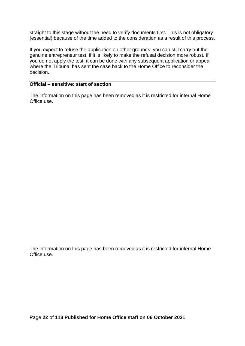straight to this stage without the need to verify documents first. This is not obligatory (essential) because of the time added to the consideration as a result of this process.

If you expect to refuse the application on other grounds, you can still carry out the genuine entrepreneur test, if it is likely to make the refusal decision more robust. If you do not apply the test, it can be done with any subsequent application or appeal where the Tribunal has sent the case back to the Home Office to reconsider the decision.

### **Official – sensitive: start of section**

The information on this page has been removed as it is restricted for internal Home Office use.

The information on this page has been removed as it is restricted for internal Home Office use.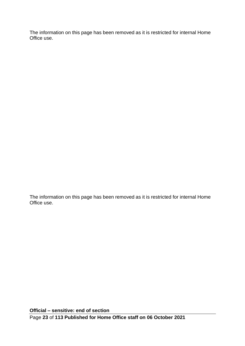The information on this page has been removed as it is restricted for internal Home Office use.

The information on this page has been removed as it is restricted for internal Home Office use.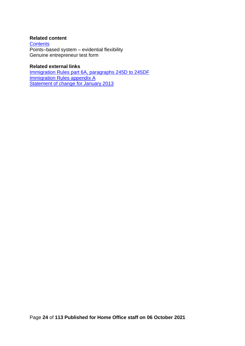#### **Related content**

**[Contents](#page-1-0)** Points–based system – evidential flexibility Genuine entrepreneur test form

#### **Related external links**

[Immigration Rules part 6A, paragraphs 245D to 245DF](https://www.gov.uk/guidance/immigration-rules/immigration-rules-part-6a-the-points-based-system)  [Immigration Rules appendix A](https://www.gov.uk/guidance/immigration-rules/immigration-rules-appendix-a-attributes) [Statement of change for January 2013](https://www.gov.uk/government/publications/statement-of-changes-to-the-immigration-rules-hc943-30-january-2013)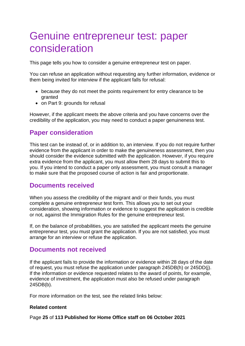## <span id="page-24-0"></span>Genuine entrepreneur test: paper consideration

This page tells you how to consider a genuine entrepreneur test on paper.

You can refuse an application without requesting any further information, evidence or them being invited for interview if the applicant falls for refusal:

- because they do not meet the points requirement for entry clearance to be granted
- on Part 9: grounds for refusal

However, if the applicant meets the above criteria and you have concerns over the credibility of the application, you may need to conduct a paper genuineness test.

## <span id="page-24-1"></span>**Paper consideration**

This test can be instead of, or in addition to, an interview. If you do not require further evidence from the applicant in order to make the genuineness assessment, then you should consider the evidence submitted with the application. However, if you require extra evidence from the applicant, you must allow them 28 days to submit this to you. If you intend to conduct a paper only assessment, you must consult a manager to make sure that the proposed course of action is fair and proportionate.

## <span id="page-24-2"></span>**Documents received**

When you assess the credibility of the migrant and/ or their funds, you must complete a genuine entrepreneur test form. This allows you to set out your consideration, showing information or evidence to suggest the application is credible or not, against the Immigration Rules for the genuine entrepreneur test.

If, on the balance of probabilities, you are satisfied the applicant meets the genuine entrepreneur test, you must grant the application. If you are not satisfied, you must arrange for an interview or refuse the application.

## <span id="page-24-3"></span>**Documents not received**

If the applicant fails to provide the information or evidence within 28 days of the date of request, you must refuse the application under paragraph 245DB(h) or 245DD(j). If the information or evidence requested relates to the award of points, for example, evidence of investment, the application must also be refused under paragraph 245DB(b).

For more information on the test, see the related links below:

### **Related content**

Page **25** of **113 Published for Home Office staff on 06 October 2021**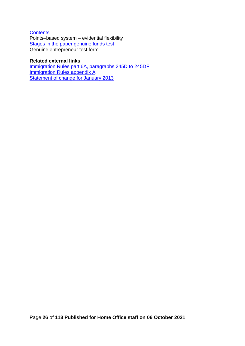### **[Contents](#page-1-0)**

Points–based system – evidential flexibility [Stages in the paper genuine funds test](#page-26-0) Genuine entrepreneur test form

### **Related external links**

[Immigration Rules part 6A, paragraphs 245D to 245DF](https://www.gov.uk/guidance/immigration-rules/immigration-rules-part-6a-the-points-based-system)  [Immigration Rules appendix A](https://www.gov.uk/guidance/immigration-rules/immigration-rules-appendix-a-attributes) [Statement of change for January 2013](https://www.gov.uk/government/publications/statement-of-changes-to-the-immigration-rules-hc943-30-january-2013)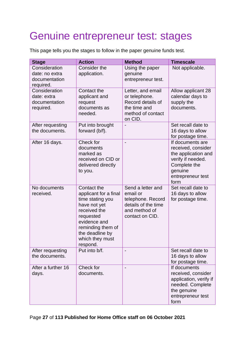## <span id="page-26-0"></span>Genuine entrepreneur test: stages

This page tells you the stages to follow in the paper genuine funds test.

| <b>Stage</b>                                                  | <b>Action</b>                                                                                                                                                                                | <b>Method</b>                                                                                                 | <b>Timescale</b>                                                                                                                           |
|---------------------------------------------------------------|----------------------------------------------------------------------------------------------------------------------------------------------------------------------------------------------|---------------------------------------------------------------------------------------------------------------|--------------------------------------------------------------------------------------------------------------------------------------------|
| Consideration<br>date: no extra<br>documentation<br>required. | Consider the<br>application.                                                                                                                                                                 | Using the paper<br>genuine<br>entrepreneur test.                                                              | Not applicable.                                                                                                                            |
| Consideration<br>date: extra<br>documentation<br>required.    | Contact the<br>applicant and<br>request<br>documents as<br>needed.                                                                                                                           | Letter, and email<br>or telephone.<br>Record details of<br>the time and<br>method of contact<br>on CID.       | Allow applicant 28<br>calendar days to<br>supply the<br>documents.                                                                         |
| After requesting<br>the documents.                            | Put into brought<br>forward (b/f).                                                                                                                                                           |                                                                                                               | Set recall date to<br>16 days to allow<br>for postage time.                                                                                |
| After 16 days.                                                | Check for<br>documents<br>marked as<br>received on CID or<br>delivered directly<br>to you.                                                                                                   |                                                                                                               | If documents are<br>received, consider<br>the application and<br>verify if needed.<br>Complete the<br>genuine<br>entrepreneur test<br>form |
| No documents<br>received.                                     | Contact the<br>applicant for a final<br>time stating you<br>have not yet<br>received the<br>requested<br>evidence and<br>reminding them of<br>the deadline by<br>which they must<br>respond. | Send a letter and<br>email or<br>telephone. Record<br>details of the time<br>and method of<br>contact on CID. | Set recall date to<br>16 days to allow<br>for postage time.                                                                                |
| After requesting<br>the documents.                            | Put into b/f.                                                                                                                                                                                |                                                                                                               | Set recall date to<br>16 days to allow<br>for postage time.                                                                                |
| After a further 16<br>days.                                   | Check for<br>documents.                                                                                                                                                                      |                                                                                                               | If documents<br>received, consider<br>application, verify if<br>needed. Complete<br>the genuine<br>entrepreneur test<br>form               |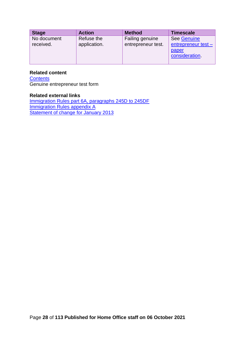| <b>Stage</b>             | <b>Action</b>              | <b>Method</b>                         | <b>Timescale</b>                            |
|--------------------------|----------------------------|---------------------------------------|---------------------------------------------|
| No document<br>received. | Refuse the<br>application. | Failing genuine<br>entrepreneur test. | <b>See Genuine</b><br>entrepreneur test $-$ |
|                          |                            |                                       | paper<br>consideration.                     |

#### **Related content**

**[Contents](#page-1-0)** Genuine entrepreneur test form

#### **Related external links**

[Immigration Rules part 6A, paragraphs 245D to 245DF](https://www.gov.uk/guidance/immigration-rules/immigration-rules-part-6a-the-points-based-system)  [Immigration Rules appendix A](https://www.gov.uk/guidance/immigration-rules/immigration-rules-appendix-a-attributes) [Statement of change for January 2013](https://www.gov.uk/government/publications/statement-of-changes-to-the-immigration-rules-hc943-30-january-2013)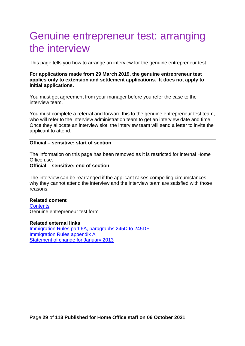## <span id="page-28-0"></span>Genuine entrepreneur test: arranging the interview

This page tells you how to arrange an interview for the genuine entrepreneur test.

#### **For applications made from 29 March 2019, the genuine entrepreneur test applies only to extension and settlement applications. It does not apply to initial applications.**

You must get agreement from your manager before you refer the case to the interview team.

You must complete a referral and forward this to the genuine entrepreneur test team, who will refer to the interview administration team to get an interview date and time. Once they allocate an interview slot, the interview team will send a letter to invite the applicant to attend.

#### **Official – sensitive: start of section**

The information on this page has been removed as it is restricted for internal Home Office use.

### **Official – sensitive: end of section**

The interview can be rearranged if the applicant raises compelling circumstances why they cannot attend the interview and the interview team are satisfied with those reasons.

#### **Related content**

**[Contents](#page-1-0)** Genuine entrepreneur test form

#### **Related external links**

[Immigration Rules part 6A, paragraphs 245D to 245DF](https://www.gov.uk/guidance/immigration-rules/immigration-rules-part-6a-the-points-based-system)  [Immigration Rules appendix A](https://www.gov.uk/guidance/immigration-rules/immigration-rules-appendix-a-attributes) [Statement of change for January 2013](https://www.gov.uk/government/publications/statement-of-changes-to-the-immigration-rules-hc943-30-january-2013)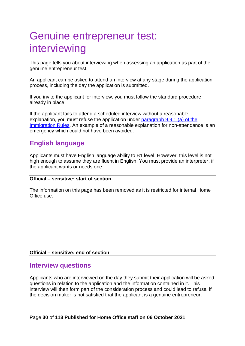## <span id="page-29-0"></span>Genuine entrepreneur test: interviewing

This page tells you about interviewing when assessing an application as part of the genuine entrepreneur test.

An applicant can be asked to attend an interview at any stage during the application process, including the day the application is submitted.

If you invite the applicant for interview, you must follow the standard procedure already in place.

If the applicant fails to attend a scheduled interview without a reasonable explanation, you must refuse the application under [paragraph 9.9.1](https://www.gov.uk/guidance/immigration-rules/immigration-rules-part-9-grounds-for-refusal) (a) of the [Immigration Rules.](https://www.gov.uk/guidance/immigration-rules/immigration-rules-part-9-grounds-for-refusal) An example of a reasonable explanation for non-attendance is an emergency which could not have been avoided.

## <span id="page-29-1"></span>**English language**

Applicants must have English language ability to B1 level. However, this level is not high enough to assume they are fluent in English. You must provide an interpreter, if the applicant wants or needs one.

## **Official – sensitive: start of section**

The information on this page has been removed as it is restricted for internal Home Office use.

## **Official – sensitive: end of section**

## <span id="page-29-2"></span>**Interview questions**

Applicants who are interviewed on the day they submit their application will be asked questions in relation to the application and the information contained in it. This interview will then form part of the consideration process and could lead to refusal if the decision maker is not satisfied that the applicant is a genuine entrepreneur.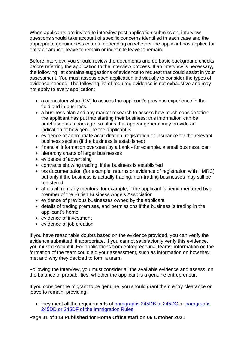When applicants are invited to interview post application submission, interview questions should take account of specific concerns identified in each case and the appropriate genuineness criteria, depending on whether the applicant has applied for entry clearance, leave to remain or indefinite leave to remain.

Before interview, you should review the documents and do basic background checks before referring the application to the interview process. If an interview is necessary, the following list contains suggestions of evidence to request that could assist in your assessment. You must assess each application individually to consider the types of evidence needed. The following list of required evidence is not exhaustive and may not apply to every application:

- a curriculum vitae (CV) to assess the applicant's previous experience in the field and in business
- a business plan and any market research to assess how much consideration the applicant has put into starting their business: this information can be purchased as a package, so plans that appear general may provide an indication of how genuine the applicant is
- evidence of appropriate accreditation, registration or insurance for the relevant business section (if the business is established)
- financial information overseen by a bank for example, a small business loan
- hierarchy charts of larger businesses
- evidence of advertising
- contracts showing trading, if the business is established
- tax documentation (for example, returns or evidence of registration with HMRC) but only if the business is actually trading: non-trading businesses may still be registered
- affidavit from any mentors: for example, if the applicant is being mentored by a member of the British Business Angels Association
- evidence of previous businesses owned by the applicant
- details of trading premises, and permissions if the business is trading in the applicant's home
- evidence of investment
- evidence of job creation

If you have reasonable doubts based on the evidence provided, you can verify the evidence submitted, if appropriate. If you cannot satisfactorily verify this evidence, you must discount it. For applications from entrepreneurial teams, information on the formation of the team could aid your assessment, such as information on how they met and why they decided to form a team.

Following the interview, you must consider all the available evidence and assess, on the balance of probabilities, whether the applicant is a genuine entrepreneur.

If you consider the migrant to be genuine, you should grant them entry clearance or leave to remain, providing:

• they meet all the requirements of [paragraphs 245DB to](https://www.gov.uk/guidance/immigration-rules/immigration-rules-part-6a-the-points-based-system) 245DC or paragraphs [245DD or 245DF of the Immigration Rules](https://www.gov.uk/guidance/immigration-rules/immigration-rules-part-6a-the-points-based-system)

Page **31** of **113 Published for Home Office staff on 06 October 2021**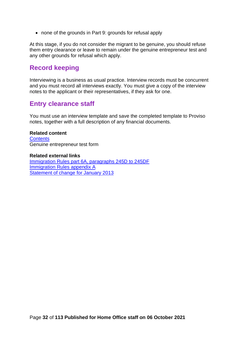• none of the grounds in Part 9: grounds for refusal apply

At this stage, if you do not consider the migrant to be genuine, you should refuse them entry clearance or leave to remain under the genuine entrepreneur test and any other grounds for refusal which apply.

## <span id="page-31-0"></span>**Record keeping**

Interviewing is a business as usual practice. Interview records must be concurrent and you must record all interviews exactly. You must give a copy of the interview notes to the applicant or their representatives, if they ask for one.

## <span id="page-31-1"></span>**Entry clearance staff**

You must use an interview template and save the completed template to Proviso notes, together with a full description of any financial documents.

#### **Related content**

**[Contents](#page-1-0)** Genuine entrepreneur test form

#### **Related external links** [Immigration Rules part 6A, paragraphs 245D to 245DF](https://www.gov.uk/guidance/immigration-rules/immigration-rules-part-6a-the-points-based-system)  [Immigration Rules appendix A](https://www.gov.uk/guidance/immigration-rules/immigration-rules-appendix-a-attributes) [Statement of change for January 2013](https://www.gov.uk/government/publications/statement-of-changes-to-the-immigration-rules-hc943-30-january-2013)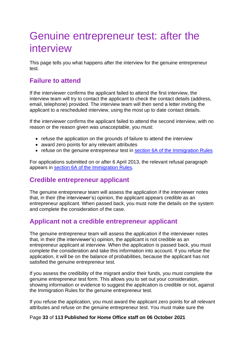## <span id="page-32-0"></span>Genuine entrepreneur test: after the interview

This page tells you what happens after the interview for the genuine entrepreneur test.

## <span id="page-32-1"></span>**Failure to attend**

If the interviewer confirms the applicant failed to attend the first interview, the interview team will try to contact the applicant to check the contact details (address, email, telephone) provided. The interview team will then send a letter inviting the applicant to a rescheduled interview, using the most up to date contact details.

If the interviewer confirms the applicant failed to attend the second interview, with no reason or the reason given was unacceptable, you must:

- refuse the application on the grounds of failure to attend the interview
- award zero points for any relevant attributes
- refuse on the genuine entrepreneur test in [section 6A of the Immigration Rules](https://www.gov.uk/guidance/immigration-rules/immigration-rules-part-6a-the-points-based-system)

For applications submitted on or after 6 April 2013, the relevant refusal paragraph appears in [section 6A of the Immigration Rules.](https://www.gov.uk/guidance/immigration-rules/immigration-rules-part-6a-the-points-based-system)

## <span id="page-32-2"></span>**Credible entrepreneur applicant**

The genuine entrepreneur team will assess the application if the interviewer notes that, in their (the interviewer's) opinion, the applicant appears credible as an entrepreneur applicant. When passed back, you must note the details on the system and complete the consideration of the case.

## <span id="page-32-3"></span>**Applicant not a credible entrepreneur applicant**

The genuine entrepreneur team will assess the application if the interviewer notes that, in their (the interviewer's) opinion, the applicant is not credible as an entrepreneur applicant at interview. When the application is passed back, you must complete the consideration and take this information into account. If you refuse the application, it will be on the balance of probabilities, because the applicant has not satisfied the genuine entrepreneur test.

If you assess the credibility of the migrant and/or their funds, you must complete the genuine entrepreneur test form. This allows you to set out your consideration, showing information or evidence to suggest the application is credible or not, against the Immigration Rules for the genuine entrepreneur test.

If you refuse the application, you must award the applicant zero points for all relevant attributes and refuse on the genuine entrepreneur test. You must make sure the

### Page **33** of **113 Published for Home Office staff on 06 October 2021**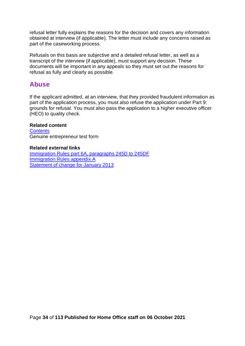refusal letter fully explains the reasons for the decision and covers any information obtained at interview (if applicable). The letter must include any concerns raised as part of the caseworking process.

Refusals on this basis are subjective and a detailed refusal letter, as well as a transcript of the interview (if applicable), must support any decision. These documents will be important in any appeals so they must set out the reasons for refusal as fully and clearly as possible.

## <span id="page-33-0"></span>**Abuse**

If the applicant admitted, at an interview, that they provided fraudulent information as part of the application process, you must also refuse the application under Part 9: grounds for refusal. You must also pass the application to a higher executive officer (HEO) to quality check.

### **Related content**

**[Contents](#page-1-0)** Genuine entrepreneur test form

### **Related external links**

[Immigration Rules part 6A, paragraphs 245D to 245DF](https://www.gov.uk/guidance/immigration-rules/immigration-rules-part-6a-the-points-based-system)  [Immigration Rules appendix A](https://www.gov.uk/guidance/immigration-rules/immigration-rules-appendix-a-attributes) [Statement of change for January 2013](https://www.gov.uk/government/publications/statement-of-changes-to-the-immigration-rules-hc943-30-january-2013)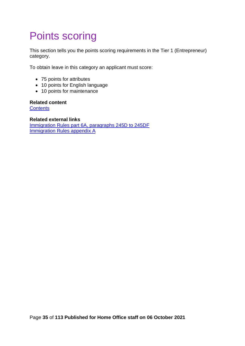# <span id="page-34-0"></span>Points scoring

This section tells you the points scoring requirements in the Tier 1 (Entrepreneur) category.

To obtain leave in this category an applicant must score:

- 75 points for attributes
- 10 points for English language
- 10 points for maintenance

### **Related content**

**[Contents](#page-1-0)** 

**Related external links** [Immigration Rules part 6A, paragraphs 245D to 245DF](https://www.gov.uk/guidance/immigration-rules/immigration-rules-part-6a-the-points-based-system)  [Immigration Rules appendix A](https://www.gov.uk/guidance/immigration-rules/immigration-rules-appendix-a-attributes)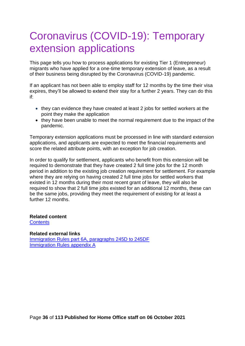## <span id="page-35-0"></span>Coronavirus (COVID-19): Temporary extension applications

This page tells you how to process applications for existing Tier 1 (Entrepreneur) migrants who have applied for a one-time temporary extension of leave, as a result of their business being disrupted by the Coronavirus (COVID-19) pandemic.

If an applicant has not been able to employ staff for 12 months by the time their visa expires, they'll be allowed to extend their stay for a further 2 years. They can do this if:

- they can evidence they have created at least 2 jobs for settled workers at the point they make the application
- they have been unable to meet the normal requirement due to the impact of the pandemic.

Temporary extension applications must be processed in line with standard extension applications, and applicants are expected to meet the financial requirements and score the related attribute points, with an exception for job creation.

In order to qualify for settlement, applicants who benefit from this extension will be required to demonstrate that they have created 2 full time jobs for the 12 month period in addition to the existing job creation requirement for settlement. For example where they are relying on having created 2 full time jobs for settled workers that existed in 12 months during their most recent grant of leave, they will also be required to show that 2 full time jobs existed for an additional 12 months, these can be the same jobs, providing they meet the requirement of existing for at least a further 12 months.

**Related content [Contents](#page-1-0)** 

**Related external links** [Immigration Rules part 6A, paragraphs 245D to 245DF](https://www.gov.uk/guidance/immigration-rules/immigration-rules-part-6a-the-points-based-system)  [Immigration Rules appendix A](https://www.gov.uk/guidance/immigration-rules/immigration-rules-appendix-a-attributes)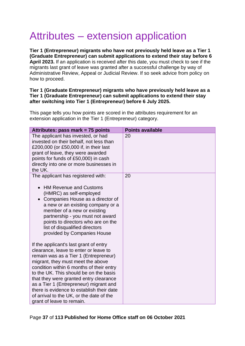## <span id="page-36-0"></span>Attributes – extension application

**Tier 1 (Entrepreneur) migrants who have not previously held leave as a Tier 1 (Graduate Entrepreneur) can submit applications to extend their stay before 6 April 2023.** If an application is received after this date, you must check to see if the migrants last grant of leave was granted after a successful challenge by way of Administrative Review, Appeal or Judicial Review. If so seek advice from policy on how to proceed.

**Tier 1 (Graduate Entrepreneur) migrants who have previously held leave as a Tier 1 (Graduate Entrepreneur) can submit applications to extend their stay after switching into Tier 1 (Entrepreneur) before 6 July 2025.**

This page tells you how points are scored in the attributes requirement for an extension application in the Tier 1 (Entrepreneur) category.

| Attributes: pass mark = 75 points                                                                                                                                                                                                                                                                                                                                                                                                                                                                                                                                                                                                                                                                                                                                                     | <b>Points available</b> |
|---------------------------------------------------------------------------------------------------------------------------------------------------------------------------------------------------------------------------------------------------------------------------------------------------------------------------------------------------------------------------------------------------------------------------------------------------------------------------------------------------------------------------------------------------------------------------------------------------------------------------------------------------------------------------------------------------------------------------------------------------------------------------------------|-------------------------|
| The applicant has invested, or had<br>invested on their behalf, not less than<br>£200,000 (or £50,000 if, in their last<br>grant of leave, they were awarded<br>points for funds of £50,000) in cash<br>directly into one or more businesses in<br>the UK.                                                                                                                                                                                                                                                                                                                                                                                                                                                                                                                            | 20                      |
| The applicant has registered with:<br><b>HM Revenue and Customs</b><br>(HMRC) as self-employed<br>Companies House as a director of<br>a new or an existing company or a<br>member of a new or existing<br>partnership - you must not award<br>points to directors who are on the<br>list of disqualified directors<br>provided by Companies House<br>If the applicant's last grant of entry<br>clearance, leave to enter or leave to<br>remain was as a Tier 1 (Entrepreneur)<br>migrant, they must meet the above<br>condition within 6 months of their entry<br>to the UK. This should be on the basis<br>that they were granted entry clearance<br>as a Tier 1 (Entrepreneur) migrant and<br>there is evidence to establish their date<br>of arrival to the UK, or the date of the | 20                      |
| grant of leave to remain.                                                                                                                                                                                                                                                                                                                                                                                                                                                                                                                                                                                                                                                                                                                                                             |                         |

Page **37** of **113 Published for Home Office staff on 06 October 2021**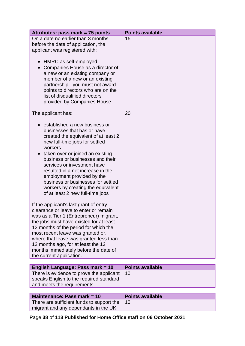| Attributes: pass mark = 75 points                                                                                                                                                                                                                                                                                                                                                          | <b>Points available</b> |
|--------------------------------------------------------------------------------------------------------------------------------------------------------------------------------------------------------------------------------------------------------------------------------------------------------------------------------------------------------------------------------------------|-------------------------|
| On a date no earlier than 3 months<br>before the date of application, the<br>applicant was registered with:<br>• HMRC as self-employed<br>Companies House as a director of<br>a new or an existing company or<br>member of a new or an existing<br>partnership - you must not award<br>points to directors who are on the<br>list of disqualified directors<br>provided by Companies House | 15                      |
| The applicant has:<br>established a new business or<br>businesses that has or have                                                                                                                                                                                                                                                                                                         | 20                      |
| created the equivalent of at least 2<br>new full-time jobs for settled<br>workers<br>• taken over or joined an existing<br>business or businesses and their<br>services or investment have<br>resulted in a net increase in the<br>employment provided by the<br>business or businesses for settled                                                                                        |                         |
| workers by creating the equivalent<br>of at least 2 new full-time jobs                                                                                                                                                                                                                                                                                                                     |                         |
| If the applicant's last grant of entry<br>clearance or leave to enter or remain<br>was as a Tier 1 (Entrepreneur) migrant,<br>the jobs must have existed for at least<br>12 months of the period for which the<br>most recent leave was granted or,<br>where that leave was granted less than<br>12 months ago, for at least the 12                                                        |                         |
| months immediately before the date of<br>the current application.                                                                                                                                                                                                                                                                                                                          |                         |
| English Language: Pass mark = 10                                                                                                                                                                                                                                                                                                                                                           | <b>Points available</b> |
| There is evidence to prove the applicant<br>speaks English to the required standard                                                                                                                                                                                                                                                                                                        | 10                      |

| Maintenance: Pass mark = $10$                        | <b>Points available</b> |
|------------------------------------------------------|-------------------------|
| There are sufficient funds to support the $\vert$ 10 |                         |
| migrant and any dependants in the UK.                |                         |

Page **38** of **113 Published for Home Office staff on 06 October 2021**

and meets the requirements.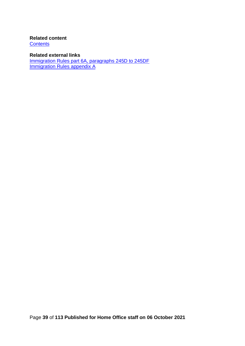#### **Related content**

**[Contents](#page-1-0)** 

#### **Related external links**

<span id="page-38-0"></span>[Immigration Rules part 6A, paragraphs 245D to 245DF](https://www.gov.uk/guidance/immigration-rules/immigration-rules-part-6a-the-points-based-system)  **[Immigration Rules appendix A](https://www.gov.uk/guidance/immigration-rules/immigration-rules-appendix-a-attributes)**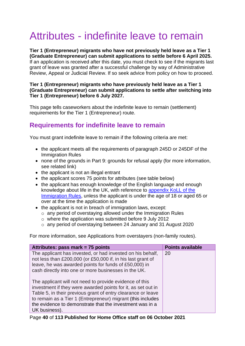## Attributes - indefinite leave to remain

**Tier 1 (Entrepreneur) migrants who have not previously held leave as a Tier 1 (Graduate Entrepreneur) can submit applications to settle before 6 April 2025.** If an application is received after this date, you must check to see if the migrants last grant of leave was granted after a successful challenge by way of Administrative Review, Appeal or Judicial Review. If so seek advice from policy on how to proceed.

#### **Tier 1 (Entrepreneur) migrants who have previously held leave as a Tier 1 (Graduate Entrepreneur) can submit applications to settle after switching into Tier 1 (Entrepreneur) before 6 July 2027.**

This page tells caseworkers about the indefinite leave to remain (settlement) requirements for the Tier 1 (Entrepreneur) route.

## **Requirements for indefinite leave to remain**

You must grant indefinite leave to remain if the following criteria are met:

- the applicant meets all the requirements of paragraph 245D or 245DF of the Immigration Rules
- none of the grounds in Part 9: grounds for refusal apply (for more information, see related link)
- the applicant is not an illegal entrant
- the applicant scores 75 points for attributes (see table below)
- the applicant has enough knowledge of the English language and enough knowledge about life in the UK, with reference to [appendix KoLL of the](https://www.gov.uk/guidance/immigration-rules/immigration-rules-appendix-koll)  [Immigration Rules,](https://www.gov.uk/guidance/immigration-rules/immigration-rules-appendix-koll) unless the applicant is under the age of 18 or aged 65 or over at the time the application is made
- the applicant is not in breach of immigration laws, except:
	- o any period of overstaying allowed under the Immigration Rules
	- o where the application was submitted before 9 July 2012
	- o any period of overstaying between 24 January and 31 August 2020

For more information, see Applications from overstayers (non-family routes).

| Attributes: pass mark = 75 points                                                                                                                                                                                                                                                                                                   | <b>Points available</b> |
|-------------------------------------------------------------------------------------------------------------------------------------------------------------------------------------------------------------------------------------------------------------------------------------------------------------------------------------|-------------------------|
| The applicant has invested, or had invested on his behalf,<br>not less than £200,000 (or £50,000 if, in his last grant of<br>leave, he was awarded points for funds of £50,000) in<br>cash directly into one or more businesses in the UK.                                                                                          | 20                      |
| The applicant will not need to provide evidence of this<br>investment if they were awarded points for it, as set out in<br>Table 5, in their previous grant of entry clearance or leave<br>to remain as a Tier 1 (Entrepreneur) migrant (this includes<br>the evidence to demonstrate that the investment was in a<br>UK business). |                         |

Page **40** of **113 Published for Home Office staff on 06 October 2021**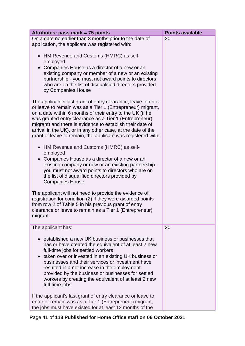| Attributes: pass mark = 75 points                                                                                                                                                                                                                                                                                                                                                                                                               | <b>Points available</b> |
|-------------------------------------------------------------------------------------------------------------------------------------------------------------------------------------------------------------------------------------------------------------------------------------------------------------------------------------------------------------------------------------------------------------------------------------------------|-------------------------|
| On a date no earlier than 3 months prior to the date of<br>application, the applicant was registered with:                                                                                                                                                                                                                                                                                                                                      | 20                      |
| • HM Revenue and Customs (HMRC) as self-<br>employed<br>• Companies House as a director of a new or an<br>existing company or member of a new or an existing<br>partnership - you must not award points to directors<br>who are on the list of disqualified directors provided<br>by Companies House                                                                                                                                            |                         |
| The applicant's last grant of entry clearance, leave to enter<br>or leave to remain was as a Tier 1 (Entrepreneur) migrant,<br>on a date within 6 months of their entry to the UK (if he<br>was granted entry clearance as a Tier 1 (Entrepreneur)<br>migrant) and there is evidence to establish their date of<br>arrival in the UK), or in any other case, at the date of the<br>grant of leave to remain, the applicant was registered with: |                         |
| HM Revenue and Customs (HMRC) as self-<br>$\bullet$<br>employed<br>• Companies House as a director of a new or an<br>existing company or new or an existing partnership -<br>you must not award points to directors who are on<br>the list of disqualified directors provided by<br><b>Companies House</b>                                                                                                                                      |                         |
| The applicant will not need to provide the evidence of<br>registration for condition (2) if they were awarded points<br>from row 2 of Table 5 in his previous grant of entry<br>clearance or leave to remain as a Tier 1 (Entrepreneur)<br>migrant.                                                                                                                                                                                             |                         |
| The applicant has:                                                                                                                                                                                                                                                                                                                                                                                                                              | 20                      |
| established a new UK business or businesses that<br>has or have created the equivalent of at least 2 new<br>full-time jobs for settled workers<br>taken over or invested in an existing UK business or<br>businesses and their services or investment have<br>resulted in a net increase in the employment<br>provided by the business or businesses for settled<br>workers by creating the equivalent of at least 2 new<br>full-time jobs      |                         |
| If the applicant's last grant of entry clearance or leave to<br>enter or remain was as a Tier 1 (Entrepreneur) migrant,<br>the jobs must have existed for at least 12 months of the                                                                                                                                                                                                                                                             |                         |

Page **41** of **113 Published for Home Office staff on 06 October 2021**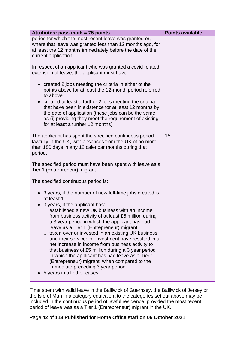| Attributes: pass mark = 75 points                                                                                                                                                                                                                                                                                                                                                                                                                                                                                                                                                                                                                                                                                             | <b>Points available</b> |
|-------------------------------------------------------------------------------------------------------------------------------------------------------------------------------------------------------------------------------------------------------------------------------------------------------------------------------------------------------------------------------------------------------------------------------------------------------------------------------------------------------------------------------------------------------------------------------------------------------------------------------------------------------------------------------------------------------------------------------|-------------------------|
| period for which the most recent leave was granted or,<br>where that leave was granted less than 12 months ago, for<br>at least the 12 months immediately before the date of the<br>current application.                                                                                                                                                                                                                                                                                                                                                                                                                                                                                                                      |                         |
| In respect of an applicant who was granted a covid related<br>extension of leave, the applicant must have:                                                                                                                                                                                                                                                                                                                                                                                                                                                                                                                                                                                                                    |                         |
| • created 2 jobs meeting the criteria in either of the<br>points above for at least the 12-month period referred<br>to above                                                                                                                                                                                                                                                                                                                                                                                                                                                                                                                                                                                                  |                         |
| • created at least a further 2 jobs meeting the criteria<br>that have been in existence for at least 12 months by<br>the date of application (these jobs can be the same<br>as (i) providing they meet the requirement of existing<br>for at least a further 12 months)                                                                                                                                                                                                                                                                                                                                                                                                                                                       |                         |
| The applicant has spent the specified continuous period<br>lawfully in the UK, with absences from the UK of no more<br>than 180 days in any 12 calendar months during that<br>period.                                                                                                                                                                                                                                                                                                                                                                                                                                                                                                                                         | 15                      |
| The specified period must have been spent with leave as a<br>Tier 1 (Entrepreneur) migrant.                                                                                                                                                                                                                                                                                                                                                                                                                                                                                                                                                                                                                                   |                         |
| The specified continuous period is:                                                                                                                                                                                                                                                                                                                                                                                                                                                                                                                                                                                                                                                                                           |                         |
| • 3 years, if the number of new full-time jobs created is<br>at least 10<br>3 years, if the applicant has:<br>$\circ$ established a new UK business with an income<br>from business activity of at least £5 million during<br>a 3 year period in which the applicant has had<br>leave as a Tier 1 (Entrepreneur) migrant<br>$\circ$ taken over or invested in an existing UK business<br>and their services or investment have resulted in a<br>net increase in income from business activity to<br>that business of £5 million during a 3 year period<br>in which the applicant has had leave as a Tier 1<br>(Entrepreneur) migrant, when compared to the<br>immediate preceding 3 year period<br>5 years in all other cases |                         |

Time spent with valid leave in the Bailiwick of Guernsey, the Bailiwick of Jersey or the Isle of Man in a category equivalent to the categories set out above may be included in the continuous period of lawful residence, provided the most recent period of leave was as a Tier 1 (Entrepreneur) migrant in the UK.

Page **42** of **113 Published for Home Office staff on 06 October 2021**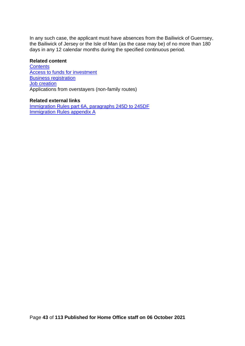In any such case, the applicant must have absences from the Bailiwick of Guernsey, the Bailiwick of Jersey or the Isle of Man (as the case may be) of no more than 180 days in any 12 calendar months during the specified continuous period.

#### **Related content**

**[Contents](#page-1-0)** [Access to funds for investment](#page-43-0)  [Business registration](#page-77-0) [Job creation](#page-83-0) Applications from overstayers (non-family routes)

#### **Related external links**

Immigration Rules part 6A, [paragraphs 245D to 245DF](https://www.gov.uk/guidance/immigration-rules/immigration-rules-part-6a-the-points-based-system)  [Immigration Rules appendix A](https://www.gov.uk/guidance/immigration-rules/immigration-rules-appendix-a-attributes)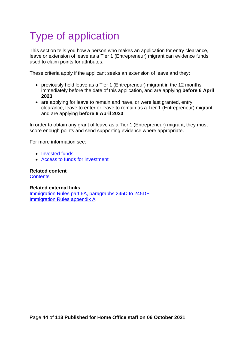# Type of application

This section tells you how a person who makes an application for entry clearance, leave or extension of leave as a Tier 1 (Entrepreneur) migrant can evidence funds used to claim points for attributes.

These criteria apply if the applicant seeks an extension of leave and they:

- previously held leave as a Tier 1 (Entrepreneur) migrant in the 12 months immediately before the date of this application, and are applying **before 6 April 2023**
- are applying for leave to remain and have, or were last granted, entry clearance, leave to enter or leave to remain as a Tier 1 (Entrepreneur) migrant and are applying **before 6 April 2023**

In order to obtain any grant of leave as a Tier 1 (Entrepreneur) migrant, they must score enough points and send supporting evidence where appropriate.

For more information see:

- [Invested funds](#page-53-0)
- [Access to funds for investment](#page-43-0)

**Related content [Contents](#page-1-0)** 

#### **Related external links**

<span id="page-43-0"></span>[Immigration Rules part 6A, paragraphs 245D to 245DF](https://www.gov.uk/guidance/immigration-rules/immigration-rules-part-6a-the-points-based-system)  [Immigration Rules appendix A](https://www.gov.uk/guidance/immigration-rules/immigration-rules-appendix-a-attributes)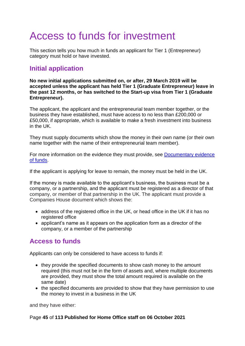## Access to funds for investment

This section tells you how much in funds an applicant for Tier 1 (Entrepreneur) category must hold or have invested.

## **Initial application**

**No new initial applications submitted on, or after, 29 March 2019 will be accepted unless the applicant has held Tier 1 (Graduate Entrepreneur) leave in the past 12 months, or has switched to the Start-up visa from Tier 1 (Graduate Entrepreneur).**

The applicant, the applicant and the entrepreneurial team member together, or the business they have established, must have access to no less than £200,000 or £50,000, if appropriate, which is available to make a fresh investment into business in the UK.

They must supply documents which show the money in their own name (or their own name together with the name of their entrepreneurial team member).

For more information on the evidence they must provide, see [Documentary evidence](#page-60-0) of [funds.](#page-60-0)

If the applicant is applying for leave to remain, the money must be held in the UK.

If the money is made available to the applicant's business, the business must be a company, or a partnership, and the applicant must be registered as a director of that company, or member of that partnership in the UK. The applicant must provide a Companies House document which shows the:

- address of the registered office in the UK, or head office in the UK if it has no registered office
- applicant's name as it appears on the application form as a director of the company, or a member of the partnership

## **Access to funds**

Applicants can only be considered to have access to funds if:

- they provide the specified documents to show cash money to the amount required (this must not be in the form of assets and, where multiple documents are provided, they must show the total amount required is available on the same date)
- the specified documents are provided to show that they have permission to use the money to invest in a business in the UK

and they have either:

### Page **45** of **113 Published for Home Office staff on 06 October 2021**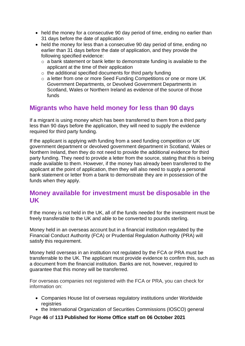- held the money for a consecutive 90 day period of time, ending no earlier than 31 days before the date of application
- held the money for less than a consecutive 90 day period of time, ending no earlier than 31 days before the date of application, and they provide the following specified evidence:
	- o a bank statement or bank letter to demonstrate funding is available to the applicant at the time of their application
	- o the additional specified documents for third party funding
	- o a letter from one or more Seed Funding Competitions or one or more UK Government Departments, or Devolved Government Departments in Scotland, Wales or Northern Ireland as evidence of the source of those funds

## **Migrants who have held money for less than 90 days**

If a migrant is using money which has been transferred to them from a third party less than 90 days before the application, they will need to supply the evidence required for third party funding.

If the applicant is applying with funding from a seed funding competition or UK government department or devolved government department in Scotland, Wales or Northern Ireland, then they do not need to provide the additional evidence for third party funding. They need to provide a letter from the source, stating that this is being made available to them. However, if the money has already been transferred to the applicant at the point of application, then they will also need to supply a personal bank statement or letter from a bank to demonstrate they are in possession of the funds when they apply.

### **Money available for investment must be disposable in the UK**

If the money is not held in the UK, all of the funds needed for the investment must be freely transferable to the UK and able to be converted to pounds sterling.

Money held in an overseas account but in a financial institution regulated by the Financial Conduct Authority (FCA) or Prudential Regulation Authority (PRA) will satisfy this requirement.

Money held overseas in an institution not regulated by the FCA or PRA must be transferrable to the UK. The applicant must provide evidence to confirm this, such as a document from the financial institution. Banks are not, however, required to guarantee that this money will be transferred.

For overseas companies not registered with the FCA or PRA, you can check for information on:

- Companies House list of overseas regulatory institutions under Worldwide registries
- the International Organization of Securities Commissions (IOSCO) general

Page **46** of **113 Published for Home Office staff on 06 October 2021**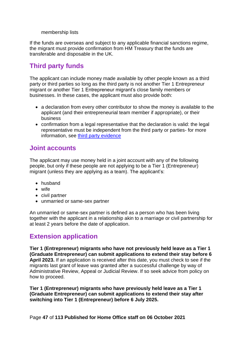#### membership lists

If the funds are overseas and subject to any applicable financial sanctions regime, the migrant must provide confirmation from HM Treasury that the funds are transferable and disposable in the UK.

## **Third party funds**

The applicant can include money made available by other people known as a third party or third parties so long as the third party is not another Tier 1 Entrepreneur migrant or another Tier 1 Entrepreneur migrant's close family members or businesses. In these cases, the applicant must also provide both:

- a declaration from every other contributor to show the money is available to the applicant (and their entrepreneurial team member if appropriate), or their business
- confirmation from a legal representative that the declaration is valid: the legal representative must be independent from the third party or parties- for more information, see [third party evidence](#page-68-0)

### **Joint accounts**

The applicant may use money held in a joint account with any of the following people, but only if these people are not applying to be a Tier 1 (Entrepreneur) migrant (unless they are applying as a team). The applicant's:

- husband
- wife
- civil partner
- unmarried or same-sex partner

An unmarried or same-sex partner is defined as a person who has been living together with the applicant in a relationship akin to a marriage or civil partnership for at least 2 years before the date of application.

## **Extension application**

**Tier 1 (Entrepreneur) migrants who have not previously held leave as a Tier 1 (Graduate Entrepreneur) can submit applications to extend their stay before 6 April 2023.** If an application is received after this date, you must check to see if the migrants last grant of leave was granted after a successful challenge by way of Administrative Review, Appeal or Judicial Review. If so seek advice from policy on how to proceed.

**Tier 1 (Entrepreneur) migrants who have previously held leave as a Tier 1 (Graduate Entrepreneur) can submit applications to extend their stay after switching into Tier 1 (Entrepreneur) before 6 July 2025.**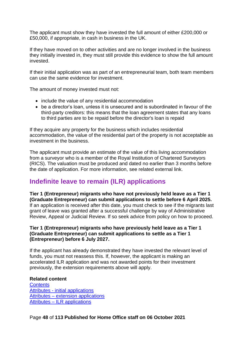The applicant must show they have invested the full amount of either £200,000 or £50,000, if appropriate, in cash in business in the UK.

If they have moved on to other activities and are no longer involved in the business they initially invested in, they must still provide this evidence to show the full amount invested.

If their initial application was as part of an entrepreneurial team, both team members can use the same evidence for investment.

The amount of money invested must not:

- include the value of any residential accommodation
- be a director's loan, unless it is unsecured and is subordinated in favour of the third-party creditors: this means that the loan agreement states that any loans to third parties are to be repaid before the director's loan is repaid

If they acquire any property for the business which includes residential accommodation, the value of the residential part of the property is not acceptable as investment in the business.

The applicant must provide an estimate of the value of this living accommodation from a surveyor who is a member of the Royal Institution of Chartered Surveyors (RICS). The valuation must be produced and dated no earlier than 3 months before the date of application. For more information, see related external link.

## **Indefinite leave to remain (ILR) applications**

**Tier 1 (Entrepreneur) migrants who have not previously held leave as a Tier 1 (Graduate Entrepreneur) can submit applications to settle before 6 April 2025.** If an application is received after this date, you must check to see if the migrants last grant of leave was granted after a successful challenge by way of Administrative Review, Appeal or Judicial Review. If so seek advice from policy on how to proceed.

#### **Tier 1 (Entrepreneur) migrants who have previously held leave as a Tier 1 (Graduate Entrepreneur) can submit applications to settle as a Tier 1 (Entrepreneur) before 6 July 2027.**

If the applicant has already demonstrated they have invested the relevant level of funds, you must not reassess this. If, however, the applicant is making an accelerated ILR application and was not awarded points for their investment previously, the extension requirements above will apply.

#### **Related content**

**[Contents](#page-1-0)** Attributes - [initial applications](#page-35-0) Attributes – [extension applications](#page-36-0) Attributes – [ILR applications](#page-38-0)

Page **48** of **113 Published for Home Office staff on 06 October 2021**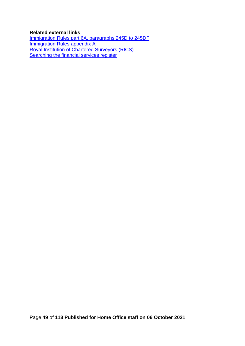#### **Related external links**

[Immigration Rules part 6A, paragraphs 245D to 245DF](https://www.gov.uk/guidance/immigration-rules/immigration-rules-part-6a-the-points-based-system)  [Immigration Rules appendix A](https://www.gov.uk/guidance/immigration-rules/immigration-rules-appendix-a-attributes) [Royal Institution of Chartered Surveyors \(RICS\)](http://www.rics.org/uk) [Searching the financial services register](https://register.fca.org.uk/)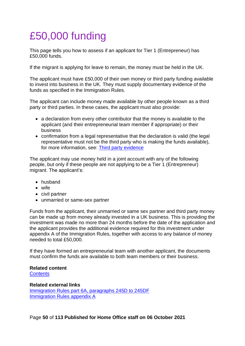# £50,000 funding

This page tells you how to assess if an applicant for Tier 1 (Entrepreneur) has £50,000 funds.

If the migrant is applying for leave to remain, the money must be held in the UK.

The applicant must have £50,000 of their own money or third party funding available to invest into business in the UK. They must supply documentary evidence of the funds as specified in the Immigration Rules.

The applicant can include money made available by other people known as a third party or third parties. In these cases, the applicant must also provide:

- a declaration from every other contributor that the money is available to the applicant (and their entrepreneurial team member if appropriate) or their business
- confirmation from a legal representative that the declaration is valid (the legal representative must not be the third party who is making the funds available), for more information, see: [Third party evidence](#page-68-0)

The applicant may use money held in a joint account with any of the following people, but only if these people are not applying to be a Tier 1 (Entrepreneur) migrant. The applicant's:

- husband
- wife
- civil partner
- unmarried or same-sex partner

Funds from the applicant, their unmarried or same sex partner and third party money can be made up from money already invested in a UK business. This is providing the investment was made no more than 24 months before the date of the application and the applicant provides the additional evidence required for this investment under appendix A of the Immigration Rules, together with access to any balance of money needed to total £50,000.

If they have formed an entrepreneurial team with another applicant, the documents must confirm the funds are available to both team members or their business.

#### **Related content**

**[Contents](#page-1-0)** 

#### **Related external links**

[Immigration Rules part 6A, paragraphs 245D to 245DF](https://www.gov.uk/guidance/immigration-rules/immigration-rules-part-6a-the-points-based-system)  [Immigration Rules appendix A](https://www.gov.uk/guidance/immigration-rules/immigration-rules-appendix-a-attributes)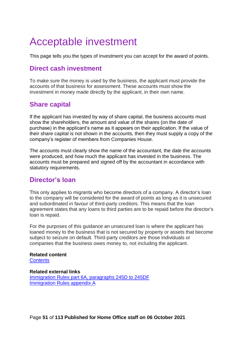## Acceptable investment

This page tells you the types of investment you can accept for the award of points.

## **Direct cash investment**

To make sure the money is used by the business, the applicant must provide the accounts of that business for assessment. These accounts must show the investment in money made directly by the applicant, in their own name.

## **Share capital**

If the applicant has invested by way of share capital, the business accounts must show the shareholders, the amount and value of the shares (on the date of purchase) in the applicant's name as it appears on their application. If the value of their share capital is not shown in the accounts, then they must supply a copy of the company's register of members from Companies House.

The accounts must clearly show the name of the accountant, the date the accounts were produced, and how much the applicant has invested in the business. The accounts must be prepared and signed off by the accountant in accordance with statutory requirements.

## **Director's loan**

This only applies to migrants who become directors of a company. A director's loan to the company will be considered for the award of points as long as it is unsecured and subordinated in favour of third-party creditors. This means that the loan agreement states that any loans to third parties are to be repaid before the director's loan is repaid.

For the purposes of this guidance an unsecured loan is where the applicant has loaned money to the business that is not secured by property or assets that become subject to seizure on default. Third-party creditors are those individuals or companies that the business owes money to, not including the applicant.

#### **Related content [Contents](#page-1-0)**

### **Related external links**

[Immigration Rules part 6A, paragraphs 245D to 245DF](https://www.gov.uk/guidance/immigration-rules/immigration-rules-part-6a-the-points-based-system)  [Immigration Rules appendix A](https://www.gov.uk/guidance/immigration-rules/immigration-rules-appendix-a-attributes)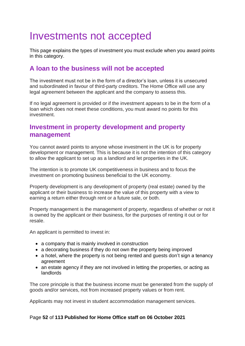## Investments not accepted

This page explains the types of investment you must exclude when you award points in this category.

## **A loan to the business will not be accepted**

The investment must not be in the form of a director's loan, unless it is unsecured and subordinated in favour of third-party creditors. The Home Office will use any legal agreement between the applicant and the company to assess this.

If no legal agreement is provided or if the investment appears to be in the form of a loan which does not meet these conditions, you must award no points for this investment.

### **Investment in property development and property management**

You cannot award points to anyone whose investment in the UK is for property development or management. This is because it is not the intention of this category to allow the applicant to set up as a landlord and let properties in the UK.

The intention is to promote UK competitiveness in business and to focus the investment on promoting business beneficial to the UK economy.

Property development is any development of property (real estate) owned by the applicant or their business to increase the value of this property with a view to earning a return either through rent or a future sale, or both.

Property management is the management of property, regardless of whether or not it is owned by the applicant or their business, for the purposes of renting it out or for resale.

An applicant is permitted to invest in:

- a company that is mainly involved in construction
- a decorating business if they do not own the property being improved
- a hotel, where the property is not being rented and quests don't sign a tenancy agreement
- an estate agency if they are not involved in letting the properties, or acting as landlords

The core principle is that the business income must be generated from the supply of goods and/or services, not from increased property values or from rent.

Applicants may not invest in student accommodation management services.

#### Page **52** of **113 Published for Home Office staff on 06 October 2021**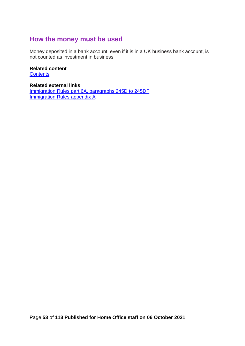## **How the money must be used**

Money deposited in a bank account, even if it is in a UK business bank account, is not counted as investment in business.

#### **Related content**

**[Contents](#page-1-0)** 

#### **Related external links**

[Immigration Rules part 6A, paragraphs 245D to 245DF](https://www.gov.uk/guidance/immigration-rules/immigration-rules-part-6a-the-points-based-system)  [Immigration Rules appendix A](https://www.gov.uk/guidance/immigration-rules/immigration-rules-appendix-a-attributes)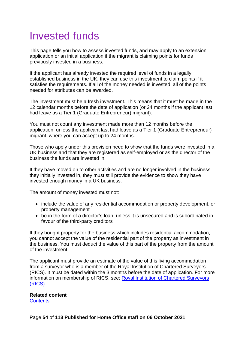## <span id="page-53-0"></span>Invested funds

This page tells you how to assess invested funds, and may apply to an extension application or an initial application if the migrant is claiming points for funds previously invested in a business.

If the applicant has already invested the required level of funds in a legally established business in the UK, they can use this investment to claim points if it satisfies the requirements. If all of the money needed is invested, all of the points needed for attributes can be awarded.

The investment must be a fresh investment. This means that it must be made in the 12 calendar months before the date of application (or 24 months if the applicant last had leave as a Tier 1 (Graduate Entrepreneur) migrant).

You must not count any investment made more than 12 months before the application, unless the applicant last had leave as a Tier 1 (Graduate Entrepreneur) migrant, where you can accept up to 24 months.

Those who apply under this provision need to show that the funds were invested in a UK business and that they are registered as self-employed or as the director of the business the funds are invested in.

If they have moved on to other activities and are no longer involved in the business they initially invested in, they must still provide the evidence to show they have invested enough money in a UK business.

The amount of money invested must not:

- include the value of any residential accommodation or property development, or property management
- be in the form of a director's loan, unless it is unsecured and is subordinated in favour of the third-party creditors

If they bought property for the business which includes residential accommodation, you cannot accept the value of the residential part of the property as investment in the business. You must deduct the value of this part of the property from the amount of the investment.

The applicant must provide an estimate of the value of this living accommodation from a surveyor who is a member of the Royal Institution of Chartered Surveyors (RICS). It must be dated within the 3 months before the date of application. For more information on membership of RICS, see: [Royal Institution of Chartered Surveyors](http://www.rics.org/uk)  [\(RICS\).](http://www.rics.org/uk)

### **Related content**

**[Contents](#page-1-0)**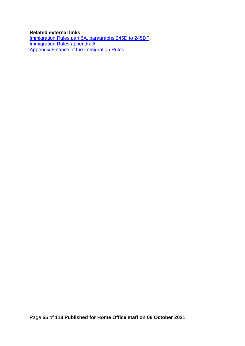#### **Related external links**

[Immigration Rules part 6A, paragraphs 245D to 245DF](https://www.gov.uk/guidance/immigration-rules/immigration-rules-part-6a-the-points-based-system)  [Immigration Rules appendix A](https://www.gov.uk/guidance/immigration-rules/immigration-rules-appendix-a-attributes) **Appendix Finance [of the Immigration Rules](https://www.gov.uk/guidance/immigration-rules)**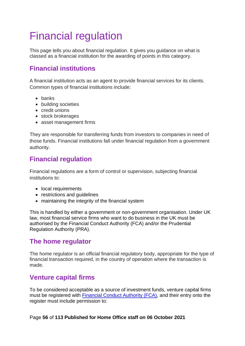## Financial regulation

This page tells you about financial regulation. It gives you guidance on what is classed as a financial institution for the awarding of points in this category.

## **Financial institutions**

A financial institution acts as an agent to provide financial services for its clients. Common types of financial institutions include:

- banks
- building societies
- credit unions
- stock brokerages
- asset management firms

They are responsible for transferring funds from investors to companies in need of those funds. Financial institutions fall under financial regulation from a government authority.

## **Financial regulation**

Financial regulations are a form of control or supervision, subjecting financial institutions to:

- local requirements
- restrictions and guidelines
- maintaining the integrity of the financial system

This is handled by either a government or non-government organisation. Under UK law, most financial service firms who want to do business in the UK must be authorised by the Financial Conduct Authority (FCA) and/or the Prudential Regulation Authority (PRA).

## **The home regulator**

The home regulator is an official financial regulatory body, appropriate for the type of financial transaction required, in the country of operation where the transaction is made.

## **Venture capital firms**

To be considered acceptable as a source of investment funds, venture capital firms must be registered with [Financial Conduct Authority \(FCA\),](https://www.the-fca.org.uk/firms/financial-services-register) and their entry onto the register must include permission to:

### Page **56** of **113 Published for Home Office staff on 06 October 2021**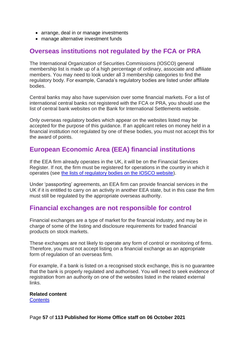- arrange, deal in or manage investments
- manage alternative investment funds

### **Overseas institutions not regulated by the FCA or PRA**

The International Organization of Securities Commissions (IOSCO) general membership list is made up of a high percentage of ordinary, associate and affiliate members. You may need to look under all 3 membership categories to find the regulatory body. For example, Canada's regulatory bodies are listed under affiliate bodies.

Central banks may also have supervision over some financial markets. For a list of international central banks not registered with the FCA or PRA, you should use the list of central bank websites on the Bank for International Settlements website.

Only overseas regulatory bodies which appear on the websites listed may be accepted for the purpose of this guidance. If an applicant relies on money held in a financial institution not regulated by one of these bodies, you must not accept this for the award of points.

## **European Economic Area (EEA) financial institutions**

If the EEA firm already operates in the UK, it will be on the Financial Services Register. If not, the firm must be registered for operations in the country in which it operates (see [the lists of regulatory bodies on the IOSCO website\)](http://www.iosco.org/).

Under 'passporting' agreements, an EEA firm can provide financial services in the UK if it is entitled to carry on an activity in another EEA state, but in this case the firm must still be regulated by the appropriate overseas authority.

### **Financial exchanges are not responsible for control**

Financial exchanges are a type of market for the financial industry, and may be in charge of some of the listing and disclosure requirements for traded financial products on stock markets.

These exchanges are not likely to operate any form of control or monitoring of firms. Therefore, you must not accept listing on a financial exchange as an appropriate form of regulation of an overseas firm.

For example, if a bank is listed on a recognised stock exchange, this is no guarantee that the bank is properly regulated and authorised. You will need to seek evidence of registration from an authority on one of the websites listed in the related external links.

#### **Related content**

**[Contents](#page-1-0)**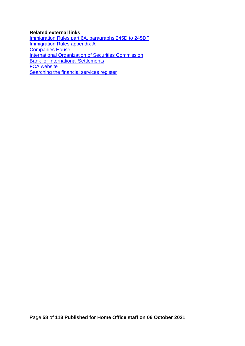#### **Related external links**

[Immigration Rules part 6A, paragraphs 245D to 245DF](https://www.gov.uk/guidance/immigration-rules/immigration-rules-part-6a-the-points-based-system)  [Immigration Rules appendix A](https://www.gov.uk/guidance/immigration-rules/immigration-rules-appendix-a-attributes) [Companies House](http://www.companieshouse.gov.uk/) **[International Organization of Securities Commission](http://www.iosco.org/) [Bank for International Settlements](https://www.bis.org/)** [FCA website](http://www.fca.org.uk/) [Searching the financial services register](https://register.fca.org.uk/)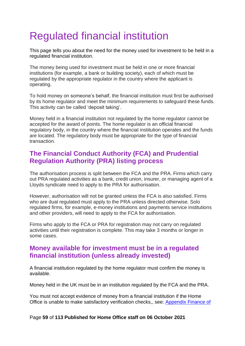# Regulated financial institution

This page tells you about the need for the money used for investment to be held in a regulated financial institution.

The money being used for investment must be held in one or more financial institutions (for example, a bank or building society), each of which must be regulated by the appropriate regulator in the country where the applicant is operating.

To hold money on someone's behalf, the financial institution must first be authorised by its home regulator and meet the minimum requirements to safeguard these funds. This activity can be called 'deposit taking'.

Money held in a financial institution not regulated by the home regulator cannot be accepted for the award of points. The home regulator is an official financial regulatory body, in the country where the financial institution operates and the funds are located. The regulatory body must be appropriate for the type of financial transaction.

## **The Financial Conduct Authority (FCA) and Prudential Regulation Authority (PRA) listing process**

The authorisation process is split between the FCA and the PRA. Firms which carry out PRA regulated activities as a bank, credit union, insurer, or managing agent of a Lloyds syndicate need to apply to the PRA for authorisation.

However, authorisation will not be granted unless the FCA is also satisfied. Firms who are dual regulated must apply to the PRA unless directed otherwise. Solo regulated firms, for example, e-money institutions and payments service institutions and other providers, will need to apply to the FCA for authorisation.

Firms who apply to the FCA or PRA for registration may not carry on regulated activities until their registration is complete. This may take 3 months or longer in some cases.

## **Money available for investment must be in a regulated financial institution (unless already invested)**

A financial institution regulated by the home regulator must confirm the money is available.

Money held in the UK must be in an institution regulated by the FCA and the PRA.

You must not accept evidence of money from a financial institution if the Home Office is unable to make satisfactory verification checks,, see: [Appendix Finance](https://www.gov.uk/guidance/immigration-rules) of

#### Page **59** of **113 Published for Home Office staff on 06 October 2021**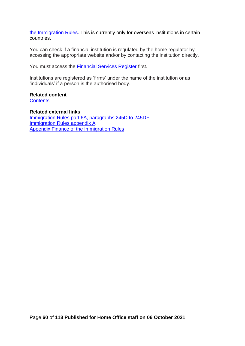[the Immigration Rules.](https://www.gov.uk/guidance/immigration-rules) This is currently only for overseas institutions in certain countries.

You can check if a financial institution is regulated by the home regulator by accessing the appropriate website and/or by contacting the institution directly.

You must access the [Financial Services Register](https://www.the-fca.org.uk/firms/financial-services-register) first.

Institutions are registered as 'firms' under the name of the institution or as 'individuals' if a person is the authorised body.

**Related content [Contents](#page-1-0)** 

### **Related external links**

[Immigration Rules part 6A, paragraphs 245D to 245DF](https://www.gov.uk/guidance/immigration-rules/immigration-rules-part-6a-the-points-based-system)  [Immigration Rules appendix A](https://www.gov.uk/guidance/immigration-rules/immigration-rules-appendix-a-attributes) [Appendix Finance of the Immigration Rules](https://www.gov.uk/guidance/immigration-rules)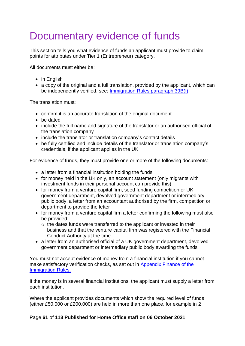## <span id="page-60-0"></span>Documentary evidence of funds

This section tells you what evidence of funds an applicant must provide to claim points for attributes under Tier 1 (Entrepreneur) category.

All documents must either be:

- in English
- a copy of the original and a full translation, provided by the applicant, which can be independently verified, see: [Immigration Rules paragraph 39B\(f\)](https://www.gov.uk/guidance/immigration-rules/immigration-rules-part-1-leave-to-enter-or-stay-in-the-uk)

The translation must:

- confirm it is an accurate translation of the original document
- be dated
- include the full name and signature of the translator or an authorised official of the translation company
- include the translator or translation company's contact details
- be fully certified and include details of the translator or translation company's credentials, if the applicant applies in the UK

For evidence of funds, they must provide one or more of the following documents:

- a letter from a financial institution holding the funds
- for money held in the UK only, an account statement (only migrants with investment funds in their personal account can provide this)
- for money from a venture capital firm, seed funding competition or UK government department, devolved government department or intermediary public body, a letter from an accountant authorised by the firm, competition or department to provide the letter
- for money from a venture capital firm a letter confirming the following must also be provided:
	- $\circ$  the dates funds were transferred to the applicant or invested in their business and that the venture capital firm was registered with the Financial Conduct Authority at the time
- a letter from an authorised official of a UK government department, devolved government department or intermediary public body awarding the funds

You must not accept evidence of money from a financial institution if you cannot make satisfactory verification checks, as set out in [Appendix Finance of the](https://www.gov.uk/guidance/immigration-rules)  [Immigration Rules.](https://www.gov.uk/guidance/immigration-rules)

If the money is in several financial institutions, the applicant must supply a letter from each institution.

Where the applicant provides documents which show the required level of funds (either £50,000 or £200,000) are held in more than one place, for example in 2

### Page **61** of **113 Published for Home Office staff on 06 October 2021**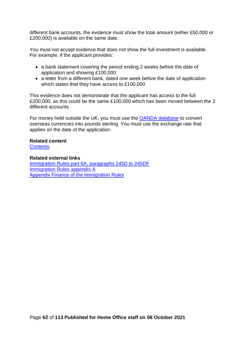different bank accounts, the evidence must show the total amount (either £50,000 or £200,000) is available on the same date.

You must not accept evidence that does not show the full investment is available. For example, if the applicant provides:

- a bank statement covering the period ending 2 weeks before the date of application and showing £100,000
- a letter from a different bank, dated one week before the date of application which states that they have access to £100,000

This evidence does not demonstrate that the applicant has access to the full £200,000, as this could be the same £100,000 which has been moved between the 2 different accounts.

For money held outside the UK, you must use the [OANDA database](http://www.oanda.com/) to convert overseas currencies into pounds sterling. You must use the exchange rate that applies on the date of the application.

### **Related content**

**[Contents](#page-1-0)** 

#### **Related external links**

[Immigration Rules part 6A, paragraphs 245D to 245DF](https://www.gov.uk/guidance/immigration-rules/immigration-rules-part-6a-the-points-based-system)  [Immigration Rules appendix A](https://www.gov.uk/guidance/immigration-rules/immigration-rules-appendix-a-attributes) [Appendix Finance of the Immigration Rules](https://www.gov.uk/guidance/immigration-rules)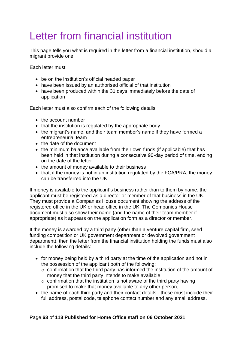# Letter from financial institution

This page tells you what is required in the letter from a financial institution, should a migrant provide one.

Each letter must:

- be on the institution's official headed paper
- have been issued by an authorised official of that institution
- have been produced within the 31 days immediately before the date of application

Each letter must also confirm each of the following details:

- the account number
- that the institution is regulated by the appropriate body
- the migrant's name, and their team member's name if they have formed a entrepreneurial team
- the date of the document
- the minimum balance available from their own funds (if applicable) that has been held in that institution during a consecutive 90-day period of time, ending on the date of the letter
- the amount of money available to their business
- that, if the money is not in an institution regulated by the FCA/PRA, the money can be transferred into the UK

If money is available to the applicant's business rather than to them by name, the applicant must be registered as a director or member of that business in the UK. They must provide a Companies House document showing the address of the registered office in the UK or head office in the UK. The Companies House document must also show their name (and the name of their team member if appropriate) as it appears on the application form as a director or member.

If the money is awarded by a third party (other than a venture capital firm, seed funding competition or UK government department or devolved government department), then the letter from the financial institution holding the funds must also include the following details:

- for money being held by a third party at the time of the application and not in the possession of the applicant both of the following:
	- o confirmation that the third party has informed the institution of the amount of money that the third party intends to make available
	- $\circ$  confirmation that the institution is not aware of the third party having promised to make that money available to any other person,
- the name of each third party and their contact details these must include their full address, postal code, telephone contact number and any email address.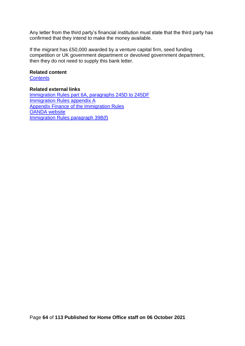Any letter from the third party's financial institution must state that the third party has confirmed that they intend to make the money available.

If the migrant has £50,000 awarded by a venture capital firm, seed funding competition or UK government department or devolved government department, then they do not need to supply this bank letter.

#### **Related content**

**[Contents](#page-1-0)** 

#### **Related external links**

[Immigration Rules part 6A, paragraphs 245D to 245DF](https://www.gov.uk/guidance/immigration-rules/immigration-rules-part-6a-the-points-based-system)  **[Immigration Rules appendix A](https://www.gov.uk/guidance/immigration-rules/immigration-rules-appendix-a-attributes)** Appendix Finance [of the Immigration Rules](https://www.gov.uk/guidance/immigration-rules) [OANDA](http://www.oanda.com/) website [Immigration Rules paragraph 39B\(f\)](https://www.gov.uk/guidance/immigration-rules/immigration-rules-part-1-leave-to-enter-or-stay-in-the-uk)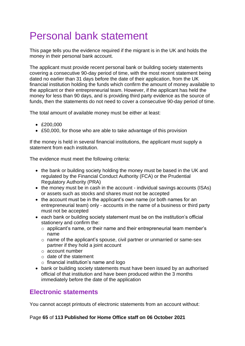## Personal bank statement

This page tells you the evidence required if the migrant is in the UK and holds the money in their personal bank account.

The applicant must provide recent personal bank or building society statements covering a consecutive 90-day period of time, with the most recent statement being dated no earlier than 31 days before the date of their application, from the UK financial institution holding the funds which confirm the amount of money available to the applicant or their entrepreneurial team. However, if the applicant has held the money for less than 90 days, and is providing third party evidence as the source of funds, then the statements do not need to cover a consecutive 90-day period of time.

The total amount of available money must be either at least:

- £200,000
- £50,000, for those who are able to take advantage of this provision

If the money is held in several financial institutions, the applicant must supply a statement from each institution.

The evidence must meet the following criteria:

- the bank or building society holding the money must be based in the UK and regulated by the Financial Conduct Authority (FCA) or the Prudential Regulatory Authority (PRA)
- the money must be in cash in the account individual savings accounts (ISAs) or assets such as stocks and shares must not be accepted
- the account must be in the applicant's own name (or both names for an entrepreneurial team) only - accounts in the name of a business or third party must not be accepted
- each bank or building society statement must be on the institution's official stationery and confirm the:
	- o applicant's name, or their name and their entrepreneurial team member's name
	- o name of the applicant's spouse, civil partner or unmarried or same-sex partner if they hold a joint account
	- o account number
	- $\circ$  date of the statement
	- o financial institution's name and logo
- bank or building society statements must have been issued by an authorised official of that institution and have been produced within the 3 months immediately before the date of the application

## **Electronic statements**

You cannot accept printouts of electronic statements from an account without:

### Page **65** of **113 Published for Home Office staff on 06 October 2021**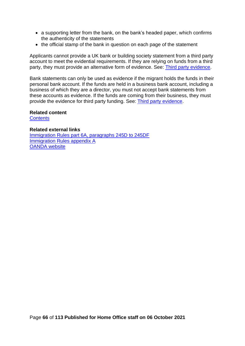- a supporting letter from the bank, on the bank's headed paper, which confirms the authenticity of the statements
- the official stamp of the bank in question on each page of the statement

Applicants cannot provide a UK bank or building society statement from a third party account to meet the evidential requirements. If they are relying on funds from a third party, they must provide an alternative form of evidence. See: [Third party evidence.](#page-68-0)

Bank statements can only be used as evidence if the migrant holds the funds in their personal bank account. If the funds are held in a business bank account, including a business of which they are a director, you must not accept bank statements from these accounts as evidence. If the funds are coming from their business, they must provide the evidence for third party funding. See: [Third party evidence.](#page-68-0)

#### **Related content**

**[Contents](#page-1-0)** 

#### **Related external links**

[Immigration Rules part 6A, paragraphs 245D to 245DF](https://www.gov.uk/guidance/immigration-rules/immigration-rules-part-6a-the-points-based-system)  [Immigration Rules appendix A](https://www.gov.uk/guidance/immigration-rules/immigration-rules-appendix-a-attributes) [OANDA](http://www.oanda.com/) website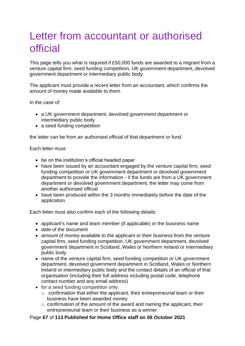## Letter from accountant or authorised official

This page tells you what is required if £50,000 funds are awarded to a migrant from a venture capital firm, seed funding competition, UK government department, devolved government department or intermediary public body.

The applicant must provide a recent letter from an accountant, which confirms the amount of money made available to them.

In the case of:

- a UK government department, devolved government department or intermediary public body
- a seed funding competition

the letter can be from an authorised official of that department or fund.

Each letter must:

- be on the institution's official headed paper
- have been issued by an accountant engaged by the venture capital firm, seed funding competition or UK government department or devolved government department to provide the information - if the funds are from a UK government department or devolved government department, the letter may come from another authorised official
- have been produced within the 3 months immediately before the date of the application

Each letter must also confirm each of the following details:

- applicant's name and team member (if applicable) or the business name
- date of the document
- amount of money available to the applicant or their business from the venture capital firm, seed funding competition, UK government department, devolved government department in Scotland, Wales or Northern Ireland or intermediary public body
- name of the venture capital firm, seed funding competition or UK government department, devolved government department in Scotland, Wales or Northern Ireland or intermediary public body and the contact details of an official of that organisation (including their full address including postal code, telephone contact number and any email address)
- for a seed funding competition only:
	- o confirmation that either the applicant, their entrepreneurial team or their business have been awarded money
	- $\circ$  confirmation of the amount of the award and naming the applicant, their entrepreneurial team or their business as a winner

#### Page **67** of **113 Published for Home Office staff on 06 October 2021**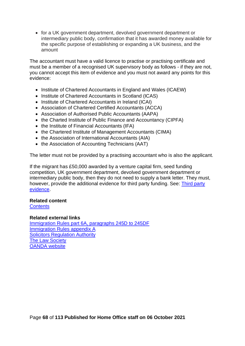• for a UK government department, devolved government department or intermediary public body, confirmation that it has awarded money available for the specific purpose of establishing or expanding a UK business, and the amount

The accountant must have a valid licence to practise or practising certificate and must be a member of a recognised UK supervisory body as follows - if they are not, you cannot accept this item of evidence and you must not award any points for this evidence:

- Institute of Chartered Accountants in England and Wales (ICAEW)
- Institute of Chartered Accountants in Scotland (ICAS)
- Institute of Chartered Accountants in Ireland (ICAI)
- Association of Chartered Certified Accountants (ACCA)
- Association of Authorised Public Accountants (AAPA)
- the Charted Institute of Public Finance and Accountancy (CIPFA)
- the Institute of Financial Accountants (IFA)
- the Chartered Institute of Management Accountants (CIMA)
- the Association of International Accountants (AIA)
- the Association of Accounting Technicians (AAT)

The letter must not be provided by a practising accountant who is also the applicant.

If the migrant has £50,000 awarded by a venture capital firm, seed funding competition, UK government department, devolved government department or intermediary public body, then they do not need to supply a bank letter. They must, however, provide the additional evidence for third party funding. See: [Third party](#page-68-0)  [evidence.](#page-68-0)

### **Related content**

**[Contents](#page-1-0)** 

#### **Related external links**

[Immigration Rules part 6A, paragraphs 245D to 245DF](https://www.gov.uk/guidance/immigration-rules/immigration-rules-part-6a-the-points-based-system)  [Immigration Rules appendix A](https://www.gov.uk/guidance/immigration-rules/immigration-rules-appendix-a-attributes) [Solicitors Regulation Authority](http://www.sra.org.uk/home/home.page) [The Law Society](http://www.lawsociety.org.uk/) [OANDA](http://www.oanda.com/) website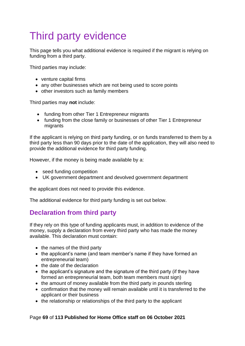# <span id="page-68-0"></span>Third party evidence

This page tells you what additional evidence is required if the migrant is relying on funding from a third party.

Third parties may include:

- venture capital firms
- any other businesses which are not being used to score points
- other investors such as family members

Third parties may **not** include:

- funding from other Tier 1 Entrepreneur migrants
- funding from the close family or businesses of other Tier 1 Entrepreneur migrants

If the applicant is relying on third party funding, or on funds transferred to them by a third party less than 90 days prior to the date of the application, they will also need to provide the additional evidence for third party funding.

However, if the money is being made available by a:

- seed funding competition
- UK government department and devolved government department

the applicant does not need to provide this evidence.

The additional evidence for third party funding is set out below.

## **Declaration from third party**

If they rely on this type of funding applicants must, in addition to evidence of the money, supply a declaration from every third party who has made the money available. This declaration must contain:

- the names of the third party
- the applicant's name (and team member's name if they have formed an entrepreneurial team)
- the date of the declaration
- the applicant's signature and the signature of the third party (if they have formed an entrepreneurial team, both team members must sign)
- the amount of money available from the third party in pounds sterling
- confirmation that the money will remain available until it is transferred to the applicant or their business
- the relationship or relationships of the third party to the applicant

#### Page **69** of **113 Published for Home Office staff on 06 October 2021**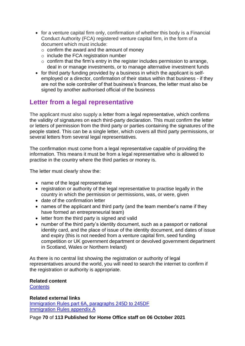- for a venture capital firm only, confirmation of whether this body is a Financial Conduct Authority (FCA) registered venture capital firm, in the form of a document which must include:
	- $\circ$  confirm the award and the amount of money
	- o include the FCA registration number
	- $\circ$  confirm that the firm's entry in the register includes permission to arrange, deal in or manage investments, or to manage alternative investment funds
- for third party funding provided by a business in which the applicant is selfemployed or a director, confirmation of their status within that business - if they are not the sole controller of that business's finances, the letter must also be signed by another authorised official of the business

## **Letter from a legal representative**

The applicant must also supply a letter from a legal representative, which confirms the validity of signatures on each third-party declaration. This must confirm the letter or letters of permission from the third party or parties containing the signatures of the people stated. This can be a single letter, which covers all third party permissions, or several letters from several legal representatives.

The confirmation must come from a legal representative capable of providing the information. This means it must be from a legal representative who is allowed to practise in the country where the third parties or money is.

The letter must clearly show the:

- name of the legal representative
- registration or authority of the legal representative to practise legally in the country in which the permission or permissions, was, or were, given
- date of the confirmation letter
- names of the applicant and third party (and the team member's name if they have formed an entrepreneurial team)
- letter from the third party is signed and valid
- number of the third party's identity document, such as a passport or national identity card, and the place of issue of the identity document, and dates of issue and expiry (this is not needed from a venture capital firm, seed funding competition or UK government department or devolved government department in Scotland, Wales or Northern Ireland)

As there is no central list showing the registration or authority of legal representatives around the world, you will need to search the internet to confirm if the registration or authority is appropriate.

### **Related content**

**[Contents](#page-1-0)** 

**Related external links**

[Immigration Rules part 6A, paragraphs 245D to 245DF](https://www.gov.uk/guidance/immigration-rules/immigration-rules-part-6a-the-points-based-system)  [Immigration Rules appendix A](https://www.gov.uk/guidance/immigration-rules/immigration-rules-appendix-a-attributes)

Page **70** of **113 Published for Home Office staff on 06 October 2021**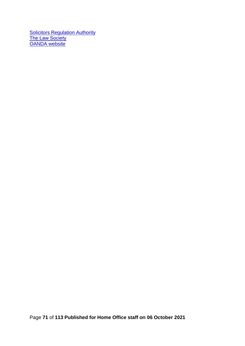**[Solicitors Regulation Authority](http://www.sra.org.uk/home/home.page) [The Law Society](http://www.lawsociety.org.uk/) [OANDA](http://www.oanda.com/)** website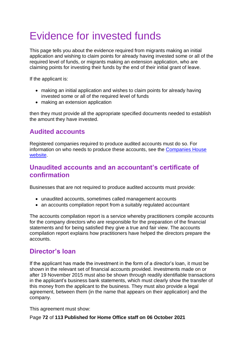## Evidence for invested funds

This page tells you about the evidence required from migrants making an initial application and wishing to claim points for already having invested some or all of the required level of funds, or migrants making an extension application, who are claiming points for investing their funds by the end of their initial grant of leave.

If the applicant is:

- making an initial application and wishes to claim points for already having invested some or all of the required level of funds
- making an extension application

then they must provide all the appropriate specified documents needed to establish the amount they have invested.

## **Audited accounts**

Registered companies required to produce audited accounts must do so. For information on who needs to produce these accounts, see the [Companies House](http://www.companieshouse.gov.uk/index.shtml)  [website.](http://www.companieshouse.gov.uk/index.shtml)

### **Unaudited accounts and an accountant's certificate of confirmation**

Businesses that are not required to produce audited accounts must provide:

- unaudited accounts, sometimes called management accounts
- an accounts compilation report from a suitably regulated accountant

The accounts compilation report is a service whereby practitioners compile accounts for the company directors who are responsible for the preparation of the financial statements and for being satisfied they give a true and fair view. The accounts compilation report explains how practitioners have helped the directors prepare the accounts.

## **Director's loan**

If the applicant has made the investment in the form of a director's loan, it must be shown in the relevant set of financial accounts provided. Investments made on or after 19 November 2015 must also be shown through readily identifiable transactions in the applicant's business bank statements, which must clearly show the transfer of this money from the applicant to the business. They must also provide a legal agreement, between them (in the name that appears on their application) and the company.

This agreement must show:

### Page **72** of **113 Published for Home Office staff on 06 October 2021**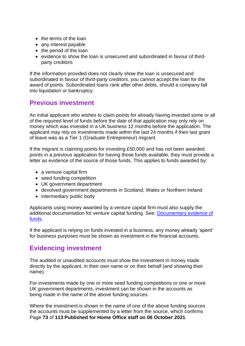- the terms of the loan
- any interest payable
- the period of the loan
- evidence to show the loan is unsecured and subordinated in favour of thirdparty creditors

If the information provided does not clearly show the loan is unsecured and subordinated in favour of third-party creditors, you cannot accept the loan for the award of points. Subordinated loans rank after other debts, should a company fall into liquidation or bankruptcy.

## **Previous investment**

An initial applicant who wishes to claim points for already having invested some or all of the required level of funds before the date of that application may only rely on money which was invested in a UK business 12 months before the application. The applicant may rely on investments made within the last 24 months if their last grant of leave was as a Tier 1 (Graduate Entrepreneur) migrant.

If the migrant is claiming points for investing £50,000 and has not been awarded points in a previous application for having those funds available, they must provide a letter as evidence of the source of those funds. This applies to funds awarded by:

- a venture capital firm
- seed funding competition
- UK government department
- devolved government departments in Scotland, Wales or Northern Ireland
- intermediary public body

Applicants using money awarded by a venture capital firm must also supply the additional documentation for venture capital funding. See: [Documentary evidence of](#page-60-0)  [funds.](#page-60-0)

If the applicant is relying on funds invested in a business, any money already 'spent' for business purposes must be shown as investment in the financial accounts.

### **Evidencing investment**

The audited or unaudited accounts must show the investment in money made directly by the applicant, in their own name or on their behalf (and showing their name).

For investments made by one or more seed funding competitions or one or more UK government departments, investment can be shown in the accounts as being made in the name of the above funding sources.

Page **73** of **113 Published for Home Office staff on 06 October 2021** Where the investment is shown in the name of one of the above funding sources the accounts must be supplemented by a letter from the source, which confirms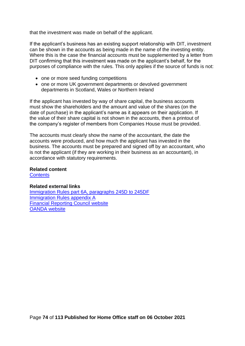that the investment was made on behalf of the applicant.

If the applicant's business has an existing support relationship with DIT, investment can be shown in the accounts as being made in the name of the investing entity. Where this is the case the financial accounts must be supplemented by a letter from DIT confirming that this investment was made on the applicant's behalf, for the purposes of compliance with the rules. This only applies if the source of funds is not:

- one or more seed funding competitions
- one or more UK government departments or devolved government departments in Scotland, Wales or Northern Ireland

If the applicant has invested by way of share capital, the business accounts must show the shareholders and the amount and value of the shares (on the date of purchase) in the applicant's name as it appears on their application. If the value of their share capital is not shown in the accounts, then a printout of the company's register of members from Companies House must be provided.

The accounts must clearly show the name of the accountant, the date the accounts were produced, and how much the applicant has invested in the business. The accounts must be prepared and signed off by an accountant, who is not the applicant (if they are working in their business as an accountant), in accordance with statutory requirements.

#### **Related content**

**[Contents](#page-1-0)** 

#### **Related external links**

[Immigration Rules part 6A, paragraphs 245D to 245DF](https://www.gov.uk/guidance/immigration-rules/immigration-rules-part-6a-the-points-based-system)  [Immigration Rules appendix A](https://www.gov.uk/guidance/immigration-rules/immigration-rules-appendix-a-attributes) [Financial Reporting Council](http://www.frc.org.uk/Home.aspx) website [OANDA](http://www.oanda.com/) website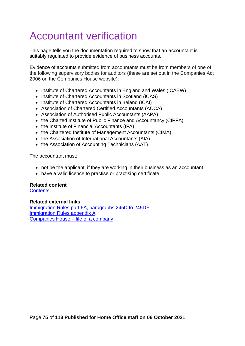# Accountant verification

This page tells you the documentation required to show that an accountant is suitably regulated to provide evidence of business accounts.

Evidence of accounts submitted from accountants must be from members of one of the following supervisory bodies for auditors (these are set out in the Companies Act 2006 on the Companies House website):

- Institute of Chartered Accountants in England and Wales (ICAEW)
- Institute of Chartered Accountants in Scotland (ICAS)
- Institute of Chartered Accountants in Ireland (ICAI)
- Association of Chartered Certified Accountants (ACCA)
- Association of Authorised Public Accountants (AAPA)
- the Charted Institute of Public Finance and Accountancy (CIPFA)
- the Institute of Financial Accountants (IFA)
- the Chartered Institute of Management Accountants (CIMA)
- the Association of International Accountants (AIA)
- the Association of Accounting Technicians (AAT)

The accountant must:

- not be the applicant, if they are working in their business as an accountant
- have a valid licence to practise or practising certificate

#### **Related content**

**[Contents](#page-1-0)** 

#### **Related external links**

[Immigration Rules part 6A, paragraphs 245D to 245DF](https://www.gov.uk/guidance/immigration-rules/immigration-rules-part-6a-the-points-based-system)  [Immigration Rules appendix A](https://www.gov.uk/guidance/immigration-rules/immigration-rules-appendix-a-attributes) [Companies House –](http://www.companieshouse.gov.uk/about/gbhtml/gp2.shtml) life of a company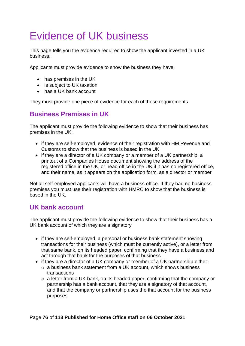# Evidence of UK business

This page tells you the evidence required to show the applicant invested in a UK business.

Applicants must provide evidence to show the business they have:

- has premises in the UK
- is subject to UK taxation
- has a UK bank account

They must provide one piece of evidence for each of these requirements.

## **Business Premises in UK**

The applicant must provide the following evidence to show that their business has premises in the UK:

- if they are self-employed, evidence of their registration with HM Revenue and Customs to show that the business is based in the UK
- if they are a director of a UK company or a member of a UK partnership, a printout of a Companies House document showing the address of the registered office in the UK, or head office in the UK if it has no registered office, and their name, as it appears on the application form, as a director or member

Not all self-employed applicants will have a business office. If they had no business premises you must use their registration with HMRC to show that the business is based in the UK.

### **UK bank account**

The applicant must provide the following evidence to show that their business has a UK bank account of which they are a signatory

- if they are self-employed, a personal or business bank statement showing transactions for their business (which must be currently active), or a letter from that same bank, on its headed paper, confirming that they have a business and act through that bank for the purposes of that business
- if they are a director of a UK company or member of a UK partnership either:
	- o a business bank statement from a UK account, which shows business transactions
	- $\circ$  a letter from a UK bank, on its headed paper, confirming that the company or partnership has a bank account, that they are a signatory of that account, and that the company or partnership uses the that account for the business purposes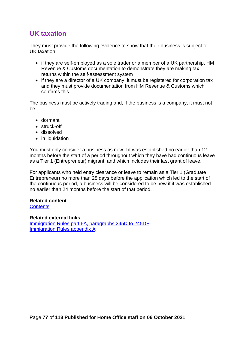## **UK taxation**

They must provide the following evidence to show that their business is subject to UK taxation:

- if they are self-employed as a sole trader or a member of a UK partnership, HM Revenue & Customs documentation to demonstrate they are making tax returns within the self-assessment system
- if they are a director of a UK company, it must be registered for corporation tax and they must provide documentation from HM Revenue & Customs which confirms this

The business must be actively trading and, if the business is a company, it must not be:

- dormant
- struck-off
- dissolved
- in liquidation

You must only consider a business as new if it was established no earlier than 12 months before the start of a period throughout which they have had continuous leave as a Tier 1 (Entrepreneur) migrant, and which includes their last grant of leave.

For applicants who held entry clearance or leave to remain as a Tier 1 (Graduate Entrepreneur) no more than 28 days before the application which led to the start of the continuous period, a business will be considered to be new if it was established no earlier than 24 months before the start of that period.

#### **Related content**

**[Contents](#page-1-0)** 

**Related external links**

[Immigration Rules part 6A, paragraphs 245D to 245DF](https://www.gov.uk/guidance/immigration-rules/immigration-rules-part-6a-the-points-based-system)  [Immigration Rules appendix A](https://www.gov.uk/guidance/immigration-rules/immigration-rules-appendix-a-attributes)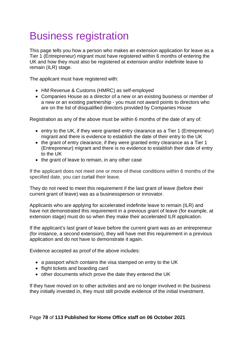# Business registration

This page tells you how a person who makes an extension application for leave as a Tier 1 (Entrepreneur) migrant must have registered within 6 months of entering the UK and how they must also be registered at extension and/or indefinite leave to remain (ILR) stage.

The applicant must have registered with:

- HM Revenue & Customs (HMRC) as self-employed
- Companies House as a director of a new or an existing business or member of a new or an existing partnership - you must not award points to directors who are on the list of disqualified directors provided by Companies House

Registration as any of the above must be within 6 months of the date of any of:

- entry to the UK, if they were granted entry clearance as a Tier 1 (Entrepreneur) migrant and there is evidence to establish the date of their entry to the UK
- the grant of entry clearance, if they were granted entry clearance as a Tier 1 (Entrepreneur) migrant and there is no evidence to establish their date of entry to the UK
- the grant of leave to remain, in any other case

If the applicant does not meet one or more of these conditions within 6 months of the specified date, you can curtail their leave.

They do not need to meet this requirement if the last grant of leave (before their current grant of leave) was as a businessperson or innovator.

Applicants who are applying for accelerated indefinite leave to remain (ILR) and have not demonstrated this requirement in a previous grant of leave (for example, at extension stage) must do so when they make their accelerated ILR application.

If the applicant's last grant of leave before the current grant was as an entrepreneur (for instance, a second extension), they will have met this requirement in a previous application and do not have to demonstrate it again.

Evidence accepted as proof of the above includes:

- a passport which contains the visa stamped on entry to the UK
- flight tickets and boarding card
- other documents which prove the date they entered the UK

If they have moved on to other activities and are no longer involved in the business they initially invested in, they must still provide evidence of the initial investment.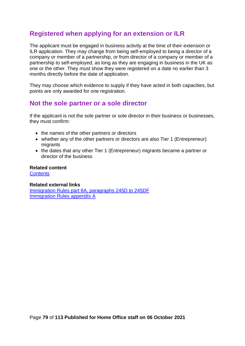## **Registered when applying for an extension or ILR**

The applicant must be engaged in business activity at the time of their extension or ILR application. They may change from being self-employed to being a director of a company or member of a partnership, or from director of a company or member of a partnership to self-employed, as long as they are engaging in business in the UK as one or the other. They must show they were registered on a date no earlier than 3 months directly before the date of application.

They may choose which evidence to supply if they have acted in both capacities, but points are only awarded for one registration.

### **Not the sole partner or a sole director**

If the applicant is not the sole partner or sole director in their business or businesses, they must confirm:

- the names of the other partners or directors
- whether any of the other partners or directors are also Tier 1 (Entrepreneur) migrants
- the dates that any other Tier 1 (Entrepreneur) migrants became a partner or director of the business

**Related content [Contents](#page-1-0)** 

#### **Related external links**

[Immigration Rules part 6A, paragraphs 245D to 245DF](https://www.gov.uk/guidance/immigration-rules/immigration-rules-part-6a-the-points-based-system)  [Immigration Rules appendix A](https://www.gov.uk/guidance/immigration-rules/immigration-rules-appendix-a-attributes)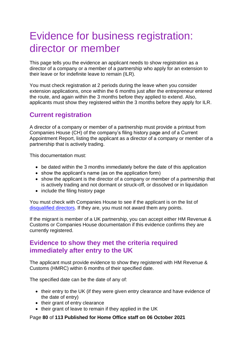## <span id="page-79-0"></span>Evidence for business registration: director or member

This page tells you the evidence an applicant needs to show registration as a director of a company or a member of a partnership who apply for an extension to their leave or for indefinite leave to remain (ILR).

You must check registration at 2 periods during the leave when you consider extension applications, once within the 6 months just after the entrepreneur entered the route, and again within the 3 months before they applied to extend. Also, applicants must show they registered within the 3 months before they apply for ILR.

## **Current registration**

A director of a company or member of a partnership must provide a printout from Companies House (CH) of the company's filing history page and of a Current Appointment Report, listing the applicant as a director of a company or member of a partnership that is actively trading.

This documentation must:

- be dated within the 3 months immediately before the date of this application
- show the applicant's name (as on the application form)
- show the applicant is the director of a company or member of a partnership that is actively trading and not dormant or struck-off, or dissolved or in liquidation
- include the filing history page

You must check with Companies House to see if the applicant is on the list of [disqualified directors.](https://beta.companieshouse.gov.uk/) If they are, you must not award them any points.

If the migrant is member of a UK partnership, you can accept either HM Revenue & Customs or Companies House documentation if this evidence confirms they are currently registered.

### **Evidence to show they met the criteria required immediately after entry to the UK**

The applicant must provide evidence to show they registered with HM Revenue & Customs (HMRC) within 6 months of their specified date.

The specified date can be the date of any of:

- their entry to the UK (if they were given entry clearance and have evidence of the date of entry)
- their grant of entry clearance
- their grant of leave to remain if they applied in the UK

#### Page **80** of **113 Published for Home Office staff on 06 October 2021**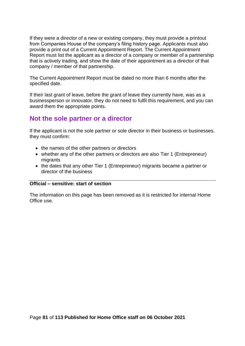If they were a director of a new or existing company, they must provide a printout from Companies House of the company's filing history page. Applicants must also provide a print out of a Current Appointment Report. The Current Appointment Report must list the applicant as a director of a company or member of a partnership that is actively trading, and show the date of their appointment as a director of that company / member of that partnership.

The Current Appointment Report must be dated no more than 6 months after the specified date.

If their last grant of leave, before the grant of leave they currently have, was as a businessperson or innovator, they do not need to fulfil this requirement, and you can award them the appropriate points.

## **Not the sole partner or a director**

If the applicant is not the sole partner or sole director in their business or businesses, they must confirm:

- the names of the other partners or directors
- whether any of the other partners or directors are also Tier 1 (Entrepreneur) migrants
- the dates that any other Tier 1 (Entrepreneur) migrants became a partner or director of the business

#### **Official – sensitive: start of section**

The information on this page has been removed as it is restricted for internal Home Office use.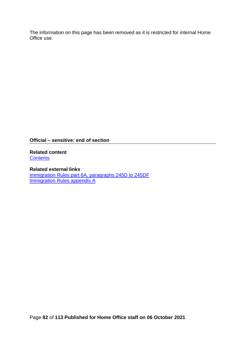The information on this page has been removed as it is restricted for internal Home Office use.

**Official – sensitive: end of section**

**Related content [Contents](#page-1-0)** 

**Related external links** [Immigration Rules part 6A, paragraphs 245D to 245DF](https://www.gov.uk/guidance/immigration-rules/immigration-rules-part-6a-the-points-based-system)  [Immigration Rules appendix A](https://www.gov.uk/guidance/immigration-rules/immigration-rules-appendix-a-attributes)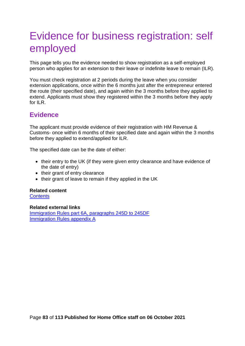# <span id="page-82-0"></span>Evidence for business registration: self employed

This page tells you the evidence needed to show registration as a self-employed person who applies for an extension to their leave or indefinite leave to remain (ILR).

You must check registration at 2 periods during the leave when you consider extension applications, once within the 6 months just after the entrepreneur entered the route (their specified date), and again within the 3 months before they applied to extend. Applicants must show they registered within the 3 months before they apply for ILR.

## **Evidence**

The applicant must provide evidence of their registration with HM Revenue & Customs- once within 6 months of their specified date and again within the 3 months before they applied to extend/applied for ILR.

The specified date can be the date of either:

- their entry to the UK (if they were given entry clearance and have evidence of the date of entry)
- their grant of entry clearance
- their grant of leave to remain if they applied in the UK

**Related content [Contents](#page-1-0)** 

#### **Related external links**

[Immigration Rules part 6A, paragraphs 245D to 245DF](https://www.gov.uk/guidance/immigration-rules/immigration-rules-part-6a-the-points-based-system)  [Immigration Rules appendix A](https://www.gov.uk/guidance/immigration-rules/immigration-rules-appendix-a-attributes)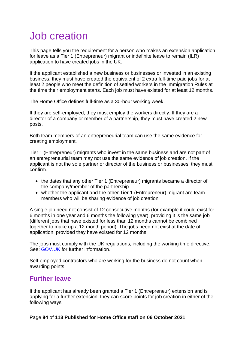# Job creation

This page tells you the requirement for a person who makes an extension application for leave as a Tier 1 (Entrepreneur) migrant or indefinite leave to remain (ILR) application to have created jobs in the UK.

If the applicant established a new business or businesses or invested in an existing business, they must have created the equivalent of 2 extra full-time paid jobs for at least 2 people who meet the definition of settled workers in the Immigration Rules at the time their employment starts. Each job must have existed for at least 12 months.

The Home Office defines full-time as a 30-hour working week.

If they are self-employed, they must employ the workers directly. If they are a director of a company or member of a partnership, they must have created 2 new posts.

Both team members of an entrepreneurial team can use the same evidence for creating employment.

Tier 1 (Entrepreneur) migrants who invest in the same business and are not part of an entrepreneurial team may not use the same evidence of job creation. If the applicant is not the sole partner or director of the business or businesses, they must confirm:

- the dates that any other Tier 1 (Entrepreneur) migrants became a director of the company/member of the partnership
- whether the applicant and the other Tier 1 (Entrepreneur) migrant are team members who will be sharing evidence of job creation

A single job need not consist of 12 consecutive months (for example it could exist for 6 months in one year and 6 months the following year), providing it is the same job (different jobs that have existed for less than 12 months cannot be combined together to make up a 12 month period). The jobs need not exist at the date of application, provided they have existed for 12 months.

The jobs must comply with the UK regulations, including the working time directive. See: [GOV.UK](https://www.gov.uk/maximum-weekly-working-hours) for further information.

Self-employed contractors who are working for the business do not count when awarding points.

### **Further leave**

If the applicant has already been granted a Tier 1 (Entrepreneur) extension and is applying for a further extension, they can score points for job creation in either of the following ways:

#### Page **84** of **113 Published for Home Office staff on 06 October 2021**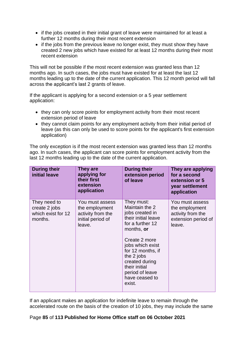- if the jobs created in their initial grant of leave were maintained for at least a further 12 months during their most recent extension
- if the jobs from the previous leave no longer exist, they must show they have created 2 new jobs which have existed for at least 12 months during their most recent extension

This will not be possible if the most recent extension was granted less than 12 months ago. In such cases, the jobs must have existed for at least the last 12 months leading up to the date of the current application. This 12 month period will fall across the applicant's last 2 grants of leave.

If the applicant is applying for a second extension or a 5 year settlement application:

- they can only score points for employment activity from their most recent extension period of leave
- they cannot claim points for any employment activity from their initial period of leave (as this can only be used to score points for the applicant's first extension application)

The only exception is if the most recent extension was granted less than 12 months ago. In such cases, the applicant can score points for employment activity from the last 12 months leading up to the date of the current application.

| <b>During their</b><br>initial leave                           | They are<br>applying for<br>their first<br>extension<br>application                   | <b>During their</b><br>extension period<br>of leave                                                                                                                                                                                                                | They are applying<br>for a second<br>extension or 5<br>year settlement<br>application   |
|----------------------------------------------------------------|---------------------------------------------------------------------------------------|--------------------------------------------------------------------------------------------------------------------------------------------------------------------------------------------------------------------------------------------------------------------|-----------------------------------------------------------------------------------------|
| They need to<br>create 2 jobs<br>which exist for 12<br>months. | You must assess<br>the employment<br>activity from the<br>initial period of<br>leave. | They must:<br>Maintain the 2<br>jobs created in<br>their initial leave<br>for a further 12<br>months, or<br>Create 2 more<br>jobs which exist<br>for 12 months, if<br>the 2 jobs<br>created during<br>their initial<br>period of leave<br>have ceased to<br>exist. | You must assess<br>the employment<br>activity from the<br>extension period of<br>leave. |

If an applicant makes an application for indefinite leave to remain through the accelerated route on the basis of the creation of 10 jobs, they may include the same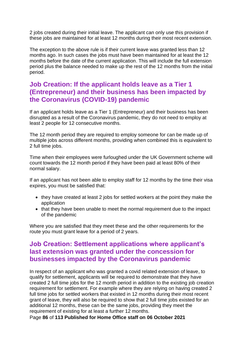2 jobs created during their initial leave. The applicant can only use this provision if these jobs are maintained for at least 12 months during their most recent extension.

The exception to the above rule is if their current leave was granted less than 12 months ago. In such cases the jobs must have been maintained for at least the 12 months before the date of the current application. This will include the full extension period plus the balance needed to make up the rest of the 12 months from the initial period.

## **Job Creation: If the applicant holds leave as a Tier 1 (Entrepreneur) and their business has been impacted by the Coronavirus (COVID-19) pandemic**

If an applicant holds leave as a Tier 1 (Entrepreneur) and their business has been disrupted as a result of the Coronavirus pandemic, they do not need to employ at least 2 people for 12 consecutive months.

The 12 month period they are required to employ someone for can be made up of multiple jobs across different months, providing when combined this is equivalent to 2 full time jobs.

Time when their employees were furloughed under the UK Government scheme will count towards the 12 month period if they have been paid at least 80% of their normal salary.

If an applicant has not been able to employ staff for 12 months by the time their visa expires, you must be satisfied that:

- they have created at least 2 jobs for settled workers at the point they make the application
- that they have been unable to meet the normal requirement due to the impact of the pandemic

Where you are satisfied that they meet these and the other requirements for the route you must grant leave for a period of 2 years.

### **Job Creation: Settlement applications where applicant's last extension was granted under the concession for businesses impacted by the Coronavirus pandemic**

In respect of an applicant who was granted a covid related extension of leave, to qualify for settlement, applicants will be required to demonstrate that they have created 2 full time jobs for the 12 month period in addition to the existing job creation requirement for settlement. For example where they are relying on having created 2 full time jobs for settled workers that existed in 12 months during their most recent grant of leave, they will also be required to show that 2 full time jobs existed for an additional 12 months, these can be the same jobs, providing they meet the requirement of existing for at least a further 12 months.

Page **86** of **113 Published for Home Office staff on 06 October 2021**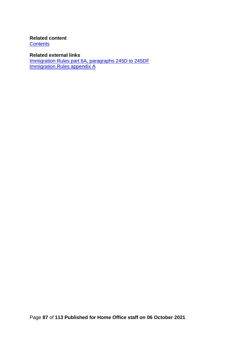#### **Related content**

**[Contents](#page-1-0)** 

#### **Related external links**

[Immigration Rules part 6A, paragraphs 245D to 245DF](https://www.gov.uk/guidance/immigration-rules/immigration-rules-part-6a-the-points-based-system)  **[Immigration Rules appendix A](https://www.gov.uk/guidance/immigration-rules/immigration-rules-appendix-a-attributes)**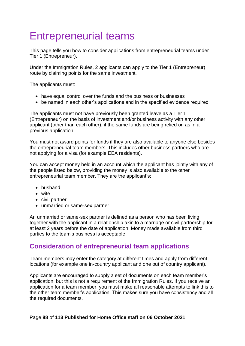# Entrepreneurial teams

This page tells you how to consider applications from entrepreneurial teams under Tier 1 (Entrepreneur).

Under the Immigration Rules, 2 applicants can apply to the Tier 1 (Entrepreneur) route by claiming points for the same investment.

The applicants must:

- have equal control over the funds and the business or businesses
- be named in each other's applications and in the specified evidence required

The applicants must not have previously been granted leave as a Tier 1 (Entrepreneur) on the basis of investment and/or business activity with any other applicant (other than each other), if the same funds are being relied on as in a previous application.

You must not award points for funds if they are also available to anyone else besides the entrepreneurial team members. This includes other business partners who are not applying for a visa (for example EEA residents).

You can accept money held in an account which the applicant has jointly with any of the people listed below, providing the money is also available to the other entrepreneurial team member. They are the applicant's:

- husband
- wife
- civil partner
- unmarried or same-sex partner

An unmarried or same-sex partner is defined as a person who has been living together with the applicant in a relationship akin to a marriage or civil partnership for at least 2 years before the date of application. Money made available from third parties to the team's business is acceptable.

### **Consideration of entrepreneurial team applications**

Team members may enter the category at different times and apply from different locations (for example one in-country applicant and one out of country applicant).

Applicants are encouraged to supply a set of documents on each team member's application, but this is not a requirement of the Immigration Rules. If you receive an application for a team member, you must make all reasonable attempts to link this to the other team member's application. This makes sure you have consistency and all the required documents.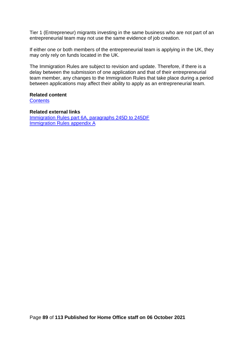Tier 1 (Entrepreneur) migrants investing in the same business who are not part of an entrepreneurial team may not use the same evidence of job creation.

If either one or both members of the entrepreneurial team is applying in the UK, they may only rely on funds located in the UK.

The Immigration Rules are subject to revision and update. Therefore, if there is a delay between the submission of one application and that of their entrepreneurial team member, any changes to the Immigration Rules that take place during a period between applications may affect their ability to apply as an entrepreneurial team.

#### **Related content**

**[Contents](#page-1-0)** 

#### **Related external links**

[Immigration Rules part 6A, paragraphs 245D to 245DF](https://www.gov.uk/guidance/immigration-rules/immigration-rules-part-6a-the-points-based-system)  [Immigration Rules appendix A](https://www.gov.uk/guidance/immigration-rules/immigration-rules-appendix-a-attributes)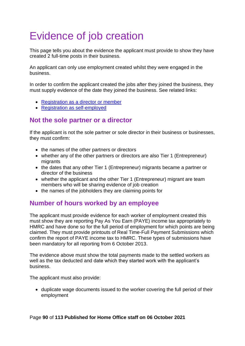# Evidence of job creation

This page tells you about the evidence the applicant must provide to show they have created 2 full-time posts in their business.

An applicant can only use employment created whilst they were engaged in the business.

In order to confirm the applicant created the jobs after they joined the business, they must supply evidence of the date they joined the business. See related links:

- [Registration as a director or member](#page-79-0)
- [Registration as self-employed](#page-82-0)

## **Not the sole partner or a director**

If the applicant is not the sole partner or sole director in their business or businesses, they must confirm:

- the names of the other partners or directors
- whether any of the other partners or directors are also Tier 1 (Entrepreneur) migrants
- the dates that any other Tier 1 (Entrepreneur) migrants became a partner or director of the business
- whether the applicant and the other Tier 1 (Entrepreneur) migrant are team members who will be sharing evidence of job creation
- the names of the jobholders they are claiming points for

### **Number of hours worked by an employee**

The applicant must provide evidence for each worker of employment created this must show they are reporting Pay As You Earn (PAYE) income tax appropriately to HMRC and have done so for the full period of employment for which points are being claimed. They must provide printouts of Real Time-Full Payment Submissions which confirm the report of PAYE income tax to HMRC. These types of submissions have been mandatory for all reporting from 6 October 2013.

The evidence above must show the total payments made to the settled workers as well as the tax deducted and date which they started work with the applicant's business.

The applicant must also provide:

• duplicate wage documents issued to the worker covering the full period of their employment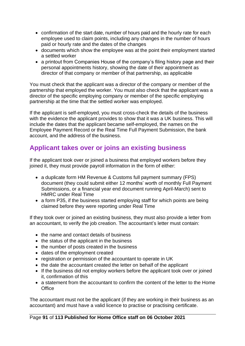- confirmation of the start date, number of hours paid and the hourly rate for each employee used to claim points, including any changes in the number of hours paid or hourly rate and the dates of the changes
- documents which show the employee was at the point their employment started a settled worker
- a printout from Companies House of the company's filing history page and their personal appointments history, showing the date of their appointment as director of that company or member of that partnership, as applicable

You must check that the applicant was a director of the company or member of the partnership that employed the worker. You must also check that the applicant was a director of the specific employing company or member of the specific employing partnership at the time that the settled worker was employed.

If the applicant is self-employed, you must cross-check the details of the business with the evidence the applicant provides to show that it was a UK business. This will include the dates that the applicant became self-employed, the names on the Employee Payment Record or the Real Time Full Payment Submission, the bank account, and the address of the business.

## **Applicant takes over or joins an existing business**

If the applicant took over or joined a business that employed workers before they joined it, they must provide payroll information in the form of either:

- a duplicate form HM Revenue & Customs full payment summary (FPS) document (they could submit either 12 months' worth of monthly Full Payment Submissions, or a financial year end document running April-March) sent to HMRC under Real Time
- a form P35, if the business started emploving staff for which points are being claimed before they were reporting under Real Time

If they took over or joined an existing business, they must also provide a letter from an accountant, to verify the job creation. The accountant's letter must contain:

- the name and contact details of business
- the status of the applicant in the business
- the number of posts created in the business
- dates of the employment created
- registration or permission of the accountant to operate in UK
- the date the accountant created the letter on behalf of the applicant
- If the business did not employ workers before the applicant took over or joined it, confirmation of this
- a statement from the accountant to confirm the content of the letter to the Home **Office**

The accountant must not be the applicant (if they are working in their business as an accountant) and must have a valid licence to practise or practising certificate.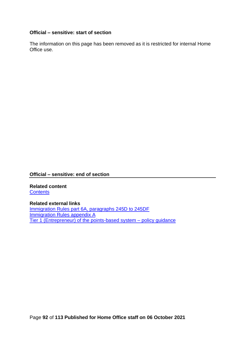#### **Official – sensitive: start of section**

The information on this page has been removed as it is restricted for internal Home Office use.

**Official – sensitive: end of section**

**Related content [Contents](#page-1-0)** 

**Related external links** [Immigration Rules part 6A, paragraphs 245D to 245DF](https://www.gov.uk/guidance/immigration-rules/immigration-rules-part-6a-the-points-based-system)  [Immigration Rules appendix A](https://www.gov.uk/guidance/immigration-rules/immigration-rules-appendix-a-attributes) [Tier 1 \(Entrepreneur\) of the points-based system –](https://www.gov.uk/government/publications/application-extend-your-stay-in-the-uk-as-a-tier-1-entrepreneur) policy guidance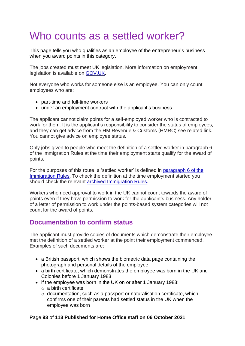# Who counts as a settled worker?

This page tells you who qualifies as an employee of the entrepreneur's business when you award points in this category.

The jobs created must meet UK legislation. More information on employment legislation is available on [GOV.UK.](https://www.gov.uk/browse/employing-people)

Not everyone who works for someone else is an employee. You can only count employees who are:

- part-time and full-time workers
- under an employment contract with the applicant's business

The applicant cannot claim points for a self-employed worker who is contracted to work for them. It is the applicant's responsibility to consider the status of employees, and they can get advice from the HM Revenue & Customs (HMRC) see related link. You cannot give advice on employee status.

Only jobs given to people who meet the definition of a settled worker in paragraph 6 of the Immigration Rules at the time their employment starts qualify for the award of points.

For the purposes of this route, a 'settled worker' is defined in [paragraph 6 of the](https://www.gov.uk/guidance/immigration-rules/immigration-rules-introduction)  [Immigration Rules.](https://www.gov.uk/guidance/immigration-rules/immigration-rules-introduction) To check the definition at the time employment started you should check the relevant **archived Immigration Rules**.

Workers who need approval to work in the UK cannot count towards the award of points even if they have permission to work for the applicant's business. Any holder of a letter of permission to work under the points-based system categories will not count for the award of points.

### **Documentation to confirm status**

The applicant must provide copies of documents which demonstrate their employee met the definition of a settled worker at the point their employment commenced. Examples of such documents are:

- a British passport, which shows the biometric data page containing the photograph and personal details of the employee
- a birth certificate, which demonstrates the employee was born in the UK and Colonies before 1 January 1983
- if the employee was born in the UK on or after 1 January 1983:
	- $\circ$  a birth certificate
	- $\circ$  documentation, such as a passport or naturalisation certificate, which confirms one of their parents had settled status in the UK when the employee was born

#### Page **93** of **113 Published for Home Office staff on 06 October 2021**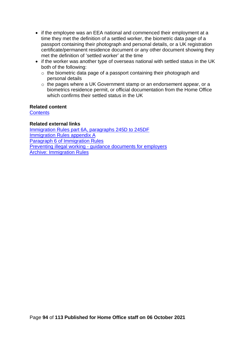- if the employee was an EEA national and commenced their employment at a time they met the definition of a settled worker, the biometric data page of a passport containing their photograph and personal details, or a UK registration certificate/permanent residence document or any other document showing they met the definition of 'settled worker' at the time
- if the worker was another type of overseas national with settled status in the UK both of the following:
	- o the biometric data page of a passport containing their photograph and personal details
	- o the pages where a UK Government stamp or an endorsement appear, or a biometrics residence permit, or official documentation from the Home Office which confirms their settled status in the UK

#### **Related content**

**[Contents](#page-1-0)** 

#### **Related external links**

[Immigration Rules part 6A, paragraphs 245D to 245DF](https://www.gov.uk/guidance/immigration-rules/immigration-rules-part-6a-the-points-based-system)  [Immigration Rules appendix A](https://www.gov.uk/guidance/immigration-rules/immigration-rules-appendix-a-attributes) [Paragraph 6 of Immigration Rules](https://www.gov.uk/government/publications/immigration-rules-introduction) Preventing illegal working - [guidance documents for employers](https://www.gov.uk/government/publications/preventing-illegal-working-guidance-for-employers-october-2013) [Archive: Immigration Rules](https://www.gov.uk/government/collections/archive-immigration-rules)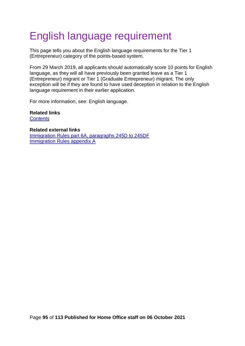# English language requirement

This page tells you about the English language requirements for the Tier 1 (Entrepreneur) category of the points-based system.

From 29 March 2019, all applicants should automatically score 10 points for English language, as they will all have previously been granted leave as a Tier 1 (Entrepreneur) migrant or Tier 1 (Graduate Entrepreneur) migrant. The only exception will be if they are found to have used deception in relation to the English language requirement in their earlier application.

For more information, see: English language.

**Related links [Contents](#page-1-0)** 

#### **Related external links**

[Immigration Rules part 6A, paragraphs 245D to 245DF](https://www.gov.uk/guidance/immigration-rules/immigration-rules-part-6a-the-points-based-system)  [Immigration Rules appendix A](https://www.gov.uk/guidance/immigration-rules/immigration-rules-appendix-a-attributes)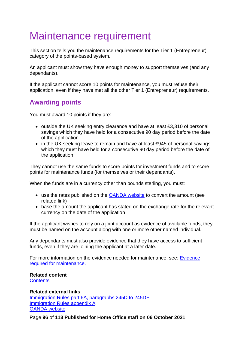# Maintenance requirement

This section tells you the maintenance requirements for the Tier 1 (Entrepreneur) category of the points-based system.

An applicant must show they have enough money to support themselves (and any dependants).

If the applicant cannot score 10 points for maintenance, you must refuse their application, even if they have met all the other Tier 1 (Entrepreneur) requirements.

## **Awarding points**

You must award 10 points if they are:

- outside the UK seeking entry clearance and have at least £3,310 of personal savings which they have held for a consecutive 90 day period before the date of the application
- in the UK seeking leave to remain and have at least £945 of personal savings which they must have held for a consecutive 90 day period before the date of the application

They cannot use the same funds to score points for investment funds and to score points for maintenance funds (for themselves or their dependants).

When the funds are in a currency other than pounds sterling, you must:

- use the rates published on the [OANDA website](http://www.oanda.com/) to convert the amount (see related link)
- base the amount the applicant has stated on the exchange rate for the relevant currency on the date of the application

If the applicant wishes to rely on a joint account as evidence of available funds, they must be named on the account along with one or more other named individual.

Any dependants must also provide evidence that they have access to sufficient funds, even if they are joining the applicant at a later date.

For more information on the evidence needed for maintenance, see: [Evidence](#page-96-0)  [required for maintenance.](#page-96-0)

**Related content [Contents](#page-1-0)** 

**Related external links** [Immigration Rules part 6A, paragraphs 245D to 245DF](https://www.gov.uk/guidance/immigration-rules/immigration-rules-part-6a-the-points-based-system)  [Immigration Rules appendix A](https://www.gov.uk/guidance/immigration-rules/immigration-rules-appendix-a-attributes) [OANDA](http://www.oanda.com/) website

Page **96** of **113 Published for Home Office staff on 06 October 2021**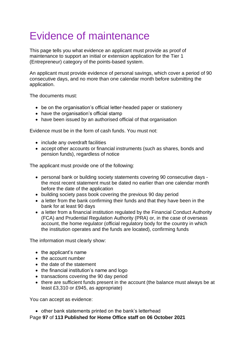# <span id="page-96-0"></span>Evidence of maintenance

This page tells you what evidence an applicant must provide as proof of maintenance to support an initial or extension application for the Tier 1 (Entrepreneur) category of the points-based system.

An applicant must provide evidence of personal savings, which cover a period of 90 consecutive days, and no more than one calendar month before submitting the application.

The documents must:

- be on the organisation's official letter-headed paper or stationery
- have the organisation's official stamp
- have been issued by an authorised official of that organisation

Evidence must be in the form of cash funds. You must not:

- include any overdraft facilities
- accept other accounts or financial instruments (such as shares, bonds and pension funds), regardless of notice

The applicant must provide one of the following:

- personal bank or building society statements covering 90 consecutive days the most recent statement must be dated no earlier than one calendar month before the date of the application
- building society pass book covering the previous 90 day period
- a letter from the bank confirming their funds and that they have been in the bank for at least 90 days
- a letter from a financial institution regulated by the Financial Conduct Authority (FCA) and Prudential Regulation Authority (PRA) or, in the case of overseas account, the home regulator (official regulatory body for the country in which the institution operates and the funds are located), confirming funds

The information must clearly show:

- the applicant's name
- the account number
- the date of the statement
- the financial institution's name and logo
- transactions covering the 90 day period
- there are sufficient funds present in the account (the balance must always be at least £3,310 or £945, as appropriate)

You can accept as evidence:

• other bank statements printed on the bank's letterhead

Page **97** of **113 Published for Home Office staff on 06 October 2021**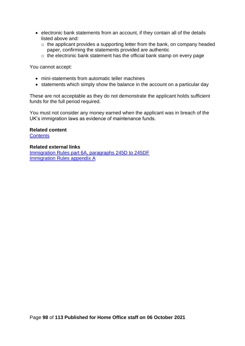- electronic bank statements from an account, if they contain all of the details listed above and:
	- o the applicant provides a supporting letter from the bank, on company headed paper, confirming the statements provided are authentic
	- o the electronic bank statement has the official bank stamp on every page

You cannot accept:

- mini-statements from automatic teller machines
- statements which simply show the balance in the account on a particular day

These are not acceptable as they do not demonstrate the applicant holds sufficient funds for the full period required.

You must not consider any money earned when the applicant was in breach of the UK's immigration laws as evidence of maintenance funds.

#### **Related content**

**[Contents](#page-1-0)** 

#### **Related external links**

[Immigration Rules part 6A, paragraphs 245D to 245DF](https://www.gov.uk/guidance/immigration-rules/immigration-rules-part-6a-the-points-based-system)  [Immigration Rules appendix A](https://www.gov.uk/guidance/immigration-rules/immigration-rules-appendix-a-attributes)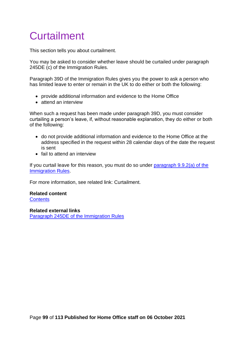# **Curtailment**

This section tells you about curtailment.

You may be asked to consider whether leave should be curtailed under paragraph 245DE (c) of the Immigration Rules.

Paragraph 39D of the Immigration Rules gives you the power to ask a person who has limited leave to enter or remain in the UK to do either or both the following:

- provide additional information and evidence to the Home Office
- attend an interview

When such a request has been made under paragraph 39D, you must consider curtailing a person's leave, if, without reasonable explanation, they do either or both of the following:

- do not provide additional information and evidence to the Home Office at the address specified in the request within 28 calendar days of the date the request is sent
- fail to attend an interview

If you curtail leave for this reason, you must do so under [paragraph 9.9.2\(a\)](https://www.gov.uk/guidance/immigration-rules/immigration-rules-part-9-grounds-for-refusal) of the [Immigration Rules.](https://www.gov.uk/guidance/immigration-rules/immigration-rules-part-9-grounds-for-refusal)

For more information, see related link: Curtailment.

#### **Related content [Contents](#page-1-0)**

**Related external links**

[Paragraph 245DE of the Immigration Rules](https://www.gov.uk/guidance/immigration-rules/immigration-rules-part-6a-the-points-based-system)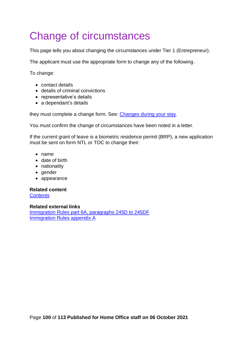# Change of circumstances

This page tells you about changing the circumstances under Tier 1 (Entrepreneur).

The applicant must use the appropriate form to change any of the following.

To change:

- contact details
- details of criminal convictions
- representative's details
- a dependant's details

they must complete a change form. See: [Changes during your stay.](https://www.gov.uk/change-circumstances-visa-brp/youre-in-the-uk-and-have-a-brp)

You must confirm the change of circumstances have been noted in a letter.

If the current grant of leave is a biometric residence permit (BRP), a new application must be sent on form NTL or TOC to change their:

- name
- date of birth
- nationality
- gender
- appearance

**Related content [Contents](#page-1-0)** 

**Related external links** [Immigration Rules part 6A, paragraphs 245D to 245DF](https://www.gov.uk/guidance/immigration-rules/immigration-rules-part-6a-the-points-based-system)  [Immigration Rules appendix A](https://www.gov.uk/guidance/immigration-rules/immigration-rules-appendix-a-attributes)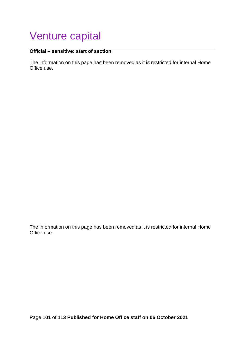# Venture capital

#### **Official – sensitive: start of section**

The information on this page has been removed as it is restricted for internal Home Office use.

The information on this page has been removed as it is restricted for internal Home Office use.

Page **101** of **113 Published for Home Office staff on 06 October 2021**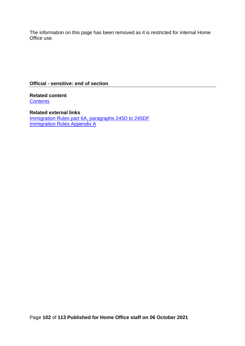The information on this page has been removed as it is restricted for internal Home Office use.

**Official - sensitive: end of section**

**Related content [Contents](#page-1-0)** 

**Related external links** [Immigration Rules part 6A, paragraphs 245D to 245DF](https://www.gov.uk/guidance/immigration-rules/immigration-rules-part-6a-the-points-based-system)  **[Immigration Rules Appendix A](https://www.gov.uk/government/publications/immigration-rules-appendix-a)**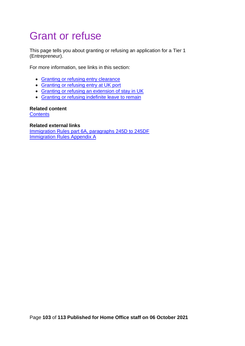# Grant or refuse

This page tells you about granting or refusing an application for a Tier 1 (Entrepreneur).

For more information, see links in this section:

- [Granting or refusing entry clearance](#page-103-0)
- [Granting or refusing entry at UK port](#page-105-0)
- [Granting or refusing an extension of stay in UK](#page-107-0)
- [Granting or refusing indefinite leave to remain](#page-109-0)

**Related content**

**[Contents](#page-1-0)** 

#### **Related external links**

[Immigration Rules part 6A, paragraphs 245D to 245DF](https://www.gov.uk/guidance/immigration-rules/immigration-rules-part-6a-the-points-based-system)  [Immigration Rules Appendix A](https://www.gov.uk/guidance/immigration-rules/immigration-rules-appendix-a-attributes)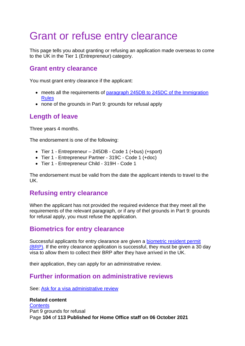# <span id="page-103-0"></span>Grant or refuse entry clearance

This page tells you about granting or refusing an application made overseas to come to the UK in the Tier 1 (Entrepreneur) category.

### **Grant entry clearance**

You must grant entry clearance if the applicant:

- meets all the requirements of paragraph 245DB to 245DC of the Immigration [Rules](https://www.gov.uk/guidance/immigration-rules/immigration-rules-part-6a-the-points-based-system)
- none of the grounds in Part 9: grounds for refusal apply

### **Length of leave**

Three years 4 months.

The endorsement is one of the following:

- Tier 1 Entrepreneur 245DB Code 1 (+bus) (+sport)
- Tier 1 Entrepreneur Partner 319C Code 1 (+doc)
- Tier 1 Entrepreneur Child 319H Code 1

The endorsement must be valid from the date the applicant intends to travel to the UK.

### **Refusing entry clearance**

When the applicant has not provided the required evidence that they meet all the requirements of the relevant paragraph, or if any of thel grounds in Part 9: grounds for refusal apply, you must refuse the application.

### **Biometrics for entry clearance**

Successful applicants for entry clearance are given a **biometric resident permit** [\(BRP\).](https://www.gov.uk/biometric-residence-permits) If the entry clearance application is successful, they must be given a 30 day visa to allow them to collect their BRP after they have arrived in the UK.

their application, they can apply for an administrative review.

### **Further information on administrative reviews**

See: [Ask for a visa administrative review](https://www.gov.uk/ask-for-a-visa-administrative-review)

Page **104** of **113 Published for Home Office staff on 06 October 2021 Related content [Contents](#page-1-0)** Part 9 grounds for refusal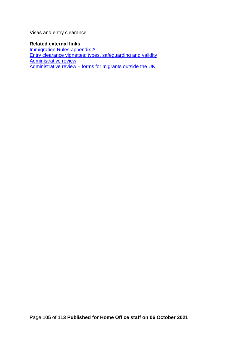Visas and entry clearance

#### **Related external links**

[Immigration Rules appendix A](https://www.gov.uk/guidance/immigration-rules/immigration-rules-appendix-a-attributes) [Entry clearance vignettes: types, safeguarding and validity](https://www.gov.uk/government/publications/entry-clearance-vignettes-ecb09) **[Administrative review](https://www.gov.uk/government/publications/administrative-review)** Administrative review – [forms for migrants outside the UK](https://www.gov.uk/government/publications/application-for-administrative-review-of-visa-decision)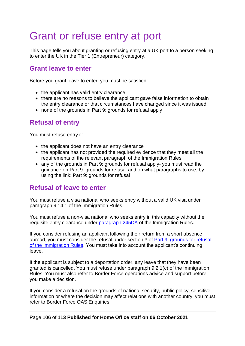# <span id="page-105-0"></span>Grant or refuse entry at port

This page tells you about granting or refusing entry at a UK port to a person seeking to enter the UK in the Tier 1 (Entrepreneur) category.

## **Grant leave to enter**

Before you grant leave to enter, you must be satisfied:

- the applicant has valid entry clearance
- there are no reasons to believe the applicant gave false information to obtain the entry clearance or that circumstances have changed since it was issued
- none of the grounds in Part 9: grounds for refusal apply

## **Refusal of entry**

You must refuse entry if:

- the applicant does not have an entry clearance
- the applicant has not provided the required evidence that they meet all the requirements of the relevant paragraph of the Immigration Rules
- any of the grounds in Part 9: grounds for refusal apply- you must read the guidance on Part 9: grounds for refusal and on what paragraphs to use, by using the link: Part 9: grounds for refusal

### **Refusal of leave to enter**

You must refuse a visa national who seeks entry without a valid UK visa under paragraph 9.14.1 of the Immigration Rules.

You must refuse a non-visa national who seeks entry in this capacity without the requisite entry clearance under [paragraph 245DA](https://www.gov.uk/guidance/immigration-rules/immigration-rules-part-6a-the-points-based-system) of the Immigration Rules.

If you consider refusing an applicant following their return from a short absence abroad, you must consider the refusal under section 3 of [Part 9: grounds for refusal](https://www.gov.uk/guidance/immigration-rules) [of the Immigration Rules.](https://www.gov.uk/guidance/immigration-rules) You must take into account the applicant's continuing leave.

If the applicant is subject to a deportation order, any leave that they have been granted is cancelled. You must refuse under paragraph 9.2.1(c) of the Immigration Rules. You must also refer to Border Force operations advice and support before you make a decision.

If you consider a refusal on the grounds of national security, public policy, sensitive information or where the decision may affect relations with another country, you must refer to Border Force OAS Enquiries.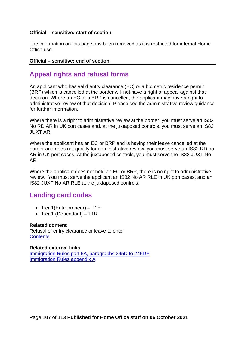#### **Official – sensitive: start of section**

The information on this page has been removed as it is restricted for internal Home Office use.

#### **Official – sensitive: end of section**

## **Appeal rights and refusal forms**

An applicant who has valid entry clearance (EC) or a biometric residence permit (BRP) which is cancelled at the border will not have a right of appeal against that decision. Where an EC or a BRP is cancelled, the applicant may have a right to administrative review of that decision. Please see the administrative review guidance for further information.

Where there is a right to administrative review at the border, you must serve an IS82 No RD AR in UK port cases and, at the juxtaposed controls, you must serve an IS82 JUXT AR.

Where the applicant has an EC or BRP and is having their leave cancelled at the border and does not qualify for administrative review, you must serve an IS82 RD no AR in UK port cases. At the juxtaposed controls, you must serve the IS82 JUXT No AR.

Where the applicant does not hold an EC or BRP, there is no right to administrative review. You must serve the applicant an IS82 No AR RLE in UK port cases, and an IS82 JUXT No AR RLE at the juxtaposed controls.

### **Landing card codes**

- Tier 1(Entrepreneur) T1E
- Tier 1 (Dependant) T1R

#### **Related content**

Refusal of entry clearance or leave to enter **[Contents](#page-1-0)** 

**Related external links** [Immigration Rules part 6A, paragraphs 245D to 245DF](https://www.gov.uk/guidance/immigration-rules/immigration-rules-part-6a-the-points-based-system)  [Immigration Rules appendix A](https://www.gov.uk/guidance/immigration-rules/immigration-rules-appendix-a-attributes)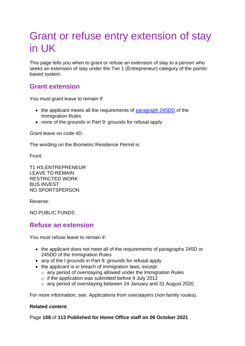# <span id="page-107-0"></span>Grant or refuse entry extension of stay in UK

This page tells you when to grant or refuse an extension of stay to a person who seeks an extension of stay under the Tier 1 (Entrepreneur) category of the pointsbased system.

### **Grant extension**

You must grant leave to remain if:

- the applicant meets all the requirements of [paragraph 245DD](https://www.gov.uk/guidance/immigration-rules/immigration-rules-part-6a-the-points-based-system) of the Immigration Rules
- none of the grounds in Part 9: grounds for refusal apply

Grant leave on code 4D.

The wording on the Biometric Residence Permit is:

Front:

T1 HS ENTREPRENEUR LEAVE TO REMAIN RESTRICTED WORK BUS INVEST NO SPORTSPERSON

Reverse:

NO PUBLIC FUNDS

### **Refuse an extension**

You must refuse leave to remain if:

- the applicant does not meet all of the requirements of paragraphs 245D or 245DD of the Immigration Rules
- any of the l grounds in Part 9: grounds for refusal apply
- the applicant is in breach of immigration laws, except:
	- o any period of overstaying allowed under the Immigration Rules
	- o if the application was submitted before 9 July 2012
	- o any period of overstaying between 24 January and 31 August 2020

For more information, see: Applications from overstayers (non family routes).

#### **Related content**

Page **108** of **113 Published for Home Office staff on 06 October 2021**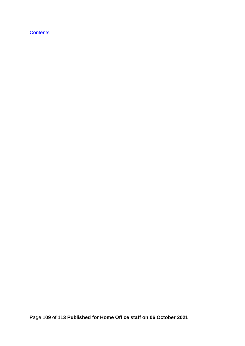### **[Contents](#page-1-0)**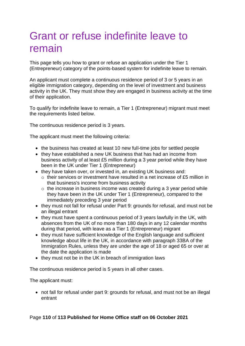### Grant or refuse indefinite leave to remain

This page tells you how to grant or refuse an application under the Tier 1 (Entrepreneur) category of the points-based system for indefinite leave to remain.

An applicant must complete a continuous residence period of 3 or 5 years in an eligible immigration category, depending on the level of investment and business activity in the UK. They must show they are engaged in business activity at the time of their application.

To qualify for indefinite leave to remain, a Tier 1 (Entrepreneur) migrant must meet the requirements listed below.

The continuous residence period is 3 years.

The applicant must meet the following criteria:

- the business has created at least 10 new full-time jobs for settled people
- they have established a new UK business that has had an income from business activity of at least £5 million during a 3 year period while they have been in the UK under Tier 1 (Entrepreneur)
- they have taken over, or invested in, an existing UK business and:
	- o their services or investment have resulted in a net increase of £5 million in that business's income from business activity
	- $\circ$  the increase in business income was created during a 3 year period while they have been in the UK under Tier 1 (Entrepreneur), compared to the immediately preceding 3 year period
- they must not fall for refusal under Part 9: grounds for refusal, and must not be an illegal entrant
- they must have spent a continuous period of 3 years lawfully in the UK, with absences from the UK of no more than 180 days in any 12 calendar months during that period, with leave as a Tier 1 (Entrepreneur) migrant
- they must have sufficient knowledge of the English language and sufficient knowledge about life in the UK, in accordance with paragraph 33BA of the Immigration Rules, unless they are under the age of 18 or aged 65 or over at the date the application is made
- they must not be in the UK in breach of immigration laws

The continuous residence period is 5 years in all other cases.

The applicant must:

• not fall for refusal under part 9: grounds for refusal, and must not be an illegal entrant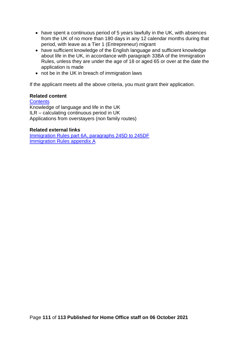- have spent a continuous period of 5 years lawfully in the UK, with absences from the UK of no more than 180 days in any 12 calendar months during that period, with leave as a Tier 1 (Entrepreneur) migrant
- have sufficient knowledge of the English language and sufficient knowledge about life in the UK, in accordance with paragraph 33BA of the Immigration Rules, unless they are under the age of 18 or aged 65 or over at the date the application is made
- not be in the UK in breach of immigration laws

If the applicant meets all the above criteria, you must grant their application.

### **Related content**

**[Contents](#page-1-0)** Knowledge of language and life in the UK ILR – calculating continuous period in UK Applications from overstayers (non family routes)

### **Related external links**

[Immigration Rules part 6A, paragraphs 245D to 245DF](https://www.gov.uk/guidance/immigration-rules/immigration-rules-part-6a-the-points-based-system)  [Immigration Rules appendix A](https://www.gov.uk/guidance/immigration-rules/immigration-rules-appendix-a-attributes)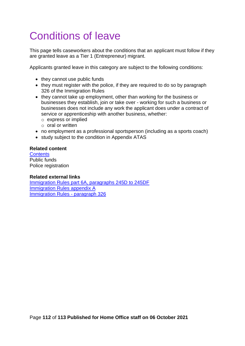# Conditions of leave

This page tells caseworkers about the conditions that an applicant must follow if they are granted leave as a Tier 1 (Entrepreneur) migrant.

Applicants granted leave in this category are subject to the following conditions:

- they cannot use public funds
- they must register with the police, if they are required to do so by paragraph 326 of the Immigration Rules
- they cannot take up employment, other than working for the business or businesses they establish, join or take over - working for such a business or businesses does not include any work the applicant does under a contract of service or apprenticeship with another business, whether:
	- o express or implied
	- o oral or written
- no employment as a professional sportsperson (including as a sports coach)
- study subject to the condition in Appendix ATAS

### **Related content**

**[Contents](#page-1-0)** Public funds Police registration

### **Related external links**

[Immigration Rules part 6A, paragraphs 245D to 245DF](https://www.gov.uk/guidance/immigration-rules/immigration-rules-part-6a-the-points-based-system)  [Immigration Rules appendix A](https://www.gov.uk/guidance/immigration-rules/immigration-rules-appendix-a-attributes) [Immigration Rules -](https://www.gov.uk/guidance/immigration-rules/immigration-rules-part-10-registering-with-the-police) paragraph 326